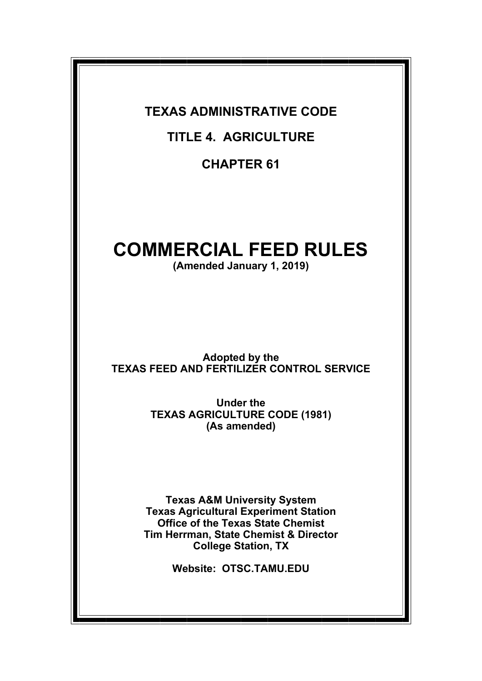**TEXAS ADMINISTRATIVE CODE** 

**TITLE 4. AGRICULTURE** 

**CHAPTER 61** 

# **COMMERCIAL FEED RULES**

**(Amended January 1, 2019)** 

**Adopted by the TEXAS FEED AND FERTILIZER CONTROL SERVICE** 

> **Under the TEXAS AGRICULTURE CODE (1981) (As amended)**

**Texas A&M University System Texas Agricultural Experiment Station Office of the Texas State Chemist Tim Herrman, State Chemist & Director College Station, TX** 

**Website: OTSC.TAMU.EDU**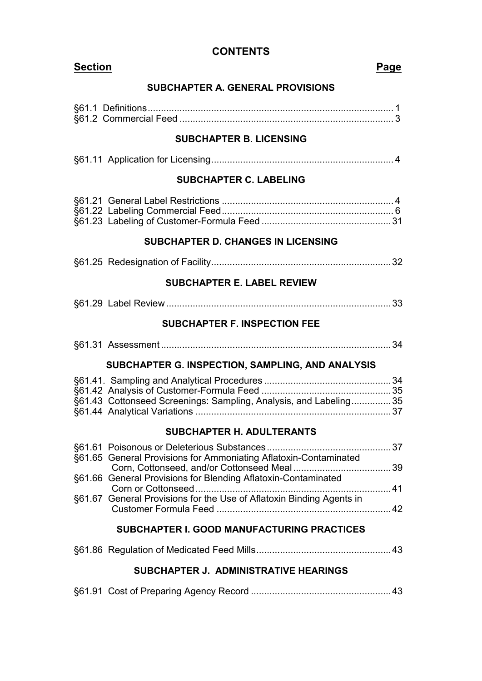# **CONTENTS**

| <b>Section</b>                             |                                                                      | Page |  |  |  |  |
|--------------------------------------------|----------------------------------------------------------------------|------|--|--|--|--|
| <b>SUBCHAPTER A. GENERAL PROVISIONS</b>    |                                                                      |      |  |  |  |  |
|                                            |                                                                      |      |  |  |  |  |
|                                            |                                                                      |      |  |  |  |  |
| <b>SUBCHAPTER B. LICENSING</b>             |                                                                      |      |  |  |  |  |
|                                            |                                                                      |      |  |  |  |  |
|                                            | <b>SUBCHAPTER C. LABELING</b>                                        |      |  |  |  |  |
|                                            |                                                                      |      |  |  |  |  |
| <b>SUBCHAPTER D. CHANGES IN LICENSING</b>  |                                                                      |      |  |  |  |  |
|                                            |                                                                      |      |  |  |  |  |
| <b>SUBCHAPTER E. LABEL REVIEW</b>          |                                                                      |      |  |  |  |  |
|                                            |                                                                      |      |  |  |  |  |
|                                            | <b>SUBCHAPTER F. INSPECTION FEE</b>                                  |      |  |  |  |  |
|                                            |                                                                      |      |  |  |  |  |
|                                            | SUBCHAPTER G. INSPECTION, SAMPLING, AND ANALYSIS                     |      |  |  |  |  |
|                                            |                                                                      |      |  |  |  |  |
|                                            | §61.43 Cottonseed Screenings: Sampling, Analysis, and Labeling35     |      |  |  |  |  |
|                                            |                                                                      |      |  |  |  |  |
| <b>SUBCHAPTER H. ADULTERANTS</b>           |                                                                      |      |  |  |  |  |
|                                            |                                                                      |      |  |  |  |  |
|                                            | §61.65 General Provisions for Ammoniating Aflatoxin-Contaminated     |      |  |  |  |  |
|                                            | §61.66 General Provisions for Blending Aflatoxin-Contaminated        |      |  |  |  |  |
|                                            | §61.67 General Provisions for the Use of Aflatoxin Binding Agents in |      |  |  |  |  |
|                                            |                                                                      |      |  |  |  |  |
| SUBCHAPTER I. GOOD MANUFACTURING PRACTICES |                                                                      |      |  |  |  |  |
|                                            |                                                                      |      |  |  |  |  |
| SUBCHAPTER J. ADMINISTRATIVE HEARINGS      |                                                                      |      |  |  |  |  |
|                                            |                                                                      |      |  |  |  |  |
|                                            |                                                                      |      |  |  |  |  |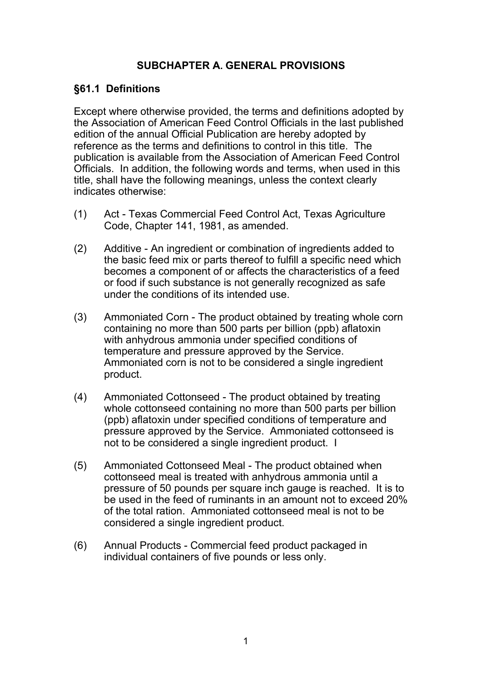# **SUBCHAPTER A. GENERAL PROVISIONS**

#### **§61.1 Definitions**

Except where otherwise provided, the terms and definitions adopted by the Association of American Feed Control Officials in the last published edition of the annual Official Publication are hereby adopted by reference as the terms and definitions to control in this title. The publication is available from the Association of American Feed Control Officials. In addition, the following words and terms, when used in this title, shall have the following meanings, unless the context clearly indicates otherwise:

- (1) Act Texas Commercial Feed Control Act, Texas Agriculture Code, Chapter 141, 1981, as amended.
- (2) Additive An ingredient or combination of ingredients added to the basic feed mix or parts thereof to fulfill a specific need which becomes a component of or affects the characteristics of a feed or food if such substance is not generally recognized as safe under the conditions of its intended use.
- (3) Ammoniated Corn The product obtained by treating whole corn containing no more than 500 parts per billion (ppb) aflatoxin with anhydrous ammonia under specified conditions of temperature and pressure approved by the Service. Ammoniated corn is not to be considered a single ingredient product.
- (4) Ammoniated Cottonseed The product obtained by treating whole cottonseed containing no more than 500 parts per billion (ppb) aflatoxin under specified conditions of temperature and pressure approved by the Service. Ammoniated cottonseed is not to be considered a single ingredient product. I
- (5) Ammoniated Cottonseed Meal The product obtained when cottonseed meal is treated with anhydrous ammonia until a pressure of 50 pounds per square inch gauge is reached. It is to be used in the feed of ruminants in an amount not to exceed 20% of the total ration. Ammoniated cottonseed meal is not to be considered a single ingredient product.
- (6) Annual Products Commercial feed product packaged in individual containers of five pounds or less only.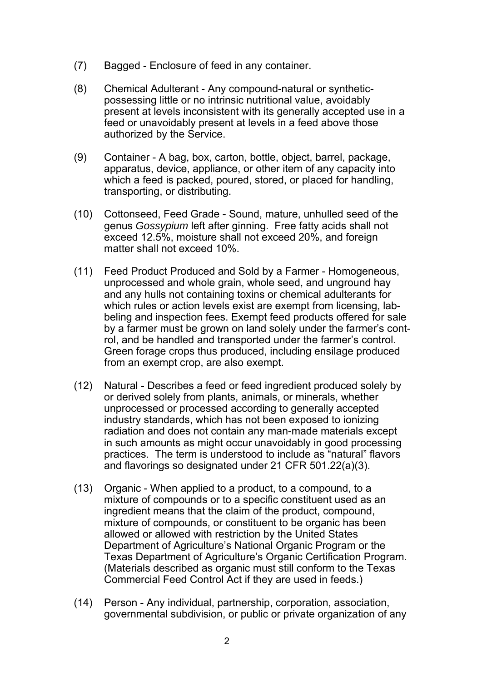- (7) Bagged Enclosure of feed in any container.
- (8) Chemical Adulterant Any compound-natural or synthetic possessing little or no intrinsic nutritional value, avoidably present at levels inconsistent with its generally accepted use in a feed or unavoidably present at levels in a feed above those authorized by the Service.
- (9) Container A bag, box, carton, bottle, object, barrel, package, apparatus, device, appliance, or other item of any capacity into which a feed is packed, poured, stored, or placed for handling, transporting, or distributing.
- (10) Cottonseed, Feed Grade Sound, mature, unhulled seed of the genus *Gossypium* left after ginning. Free fatty acids shall not exceed 12.5%, moisture shall not exceed 20%, and foreign matter shall not exceed 10%.
- (11) Feed Product Produced and Sold by a Farmer Homogeneous, unprocessed and whole grain, whole seed, and unground hay and any hulls not containing toxins or chemical adulterants for which rules or action levels exist are exempt from licensing, lab beling and inspection fees. Exempt feed products offered for sale by a farmer must be grown on land solely under the farmer's cont rol, and be handled and transported under the farmer's control. Green forage crops thus produced, including ensilage produced from an exempt crop, are also exempt.
- (12) Natural Describes a feed or feed ingredient produced solely by or derived solely from plants, animals, or minerals, whether unprocessed or processed according to generally accepted industry standards, which has not been exposed to ionizing radiation and does not contain any man-made materials except in such amounts as might occur unavoidably in good processing practices. The term is understood to include as "natural" flavors and flavorings so designated under 21 CFR 501.22(a)(3).
- (13) Organic When applied to a product, to a compound, to a mixture of compounds or to a specific constituent used as an ingredient means that the claim of the product, compound, mixture of compounds, or constituent to be organic has been allowed or allowed with restriction by the United States Department of Agriculture's National Organic Program or the Texas Department of Agriculture's Organic Certification Program. (Materials described as organic must still conform to the Texas Commercial Feed Control Act if they are used in feeds.)
- (14) Person Any individual, partnership, corporation, association, governmental subdivision, or public or private organization of any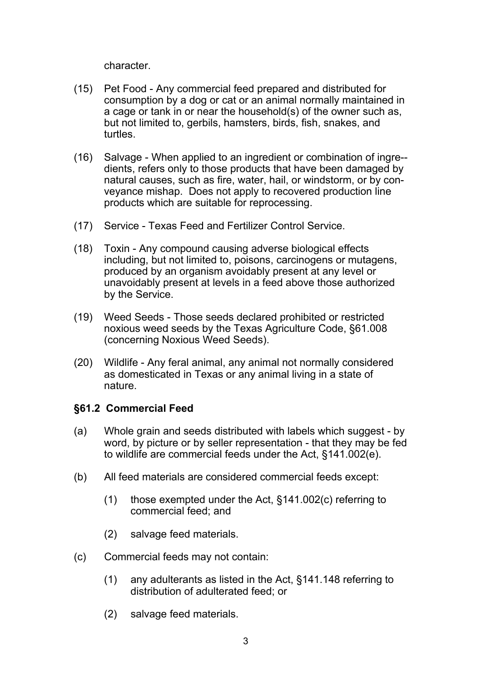character.

- (15) Pet Food Any commercial feed prepared and distributed for consumption by a dog or cat or an animal normally maintained in a cage or tank in or near the household(s) of the owner such as, but not limited to, gerbils, hamsters, birds, fish, snakes, and turtles.
- (16) Salvage When applied to an ingredient or combination of ingre- dients, refers only to those products that have been damaged by natural causes, such as fire, water, hail, or windstorm, or by con veyance mishap. Does not apply to recovered production line products which are suitable for reprocessing.
- (17) Service Texas Feed and Fertilizer Control Service.
- (18) Toxin Any compound causing adverse biological effects including, but not limited to, poisons, carcinogens or mutagens, produced by an organism avoidably present at any level or unavoidably present at levels in a feed above those authorized by the Service.
- (19) Weed Seeds Those seeds declared prohibited or restricted noxious weed seeds by the Texas Agriculture Code, §61.008 (concerning Noxious Weed Seeds).
- (20) Wildlife Any feral animal, any animal not normally considered as domesticated in Texas or any animal living in a state of nature.

# **§61.2 Commercial Feed**

- (a) Whole grain and seeds distributed with labels which suggest by word, by picture or by seller representation - that they may be fed to wildlife are commercial feeds under the Act, §141.002(e).
- (b) All feed materials are considered commercial feeds except:
	- (1) those exempted under the Act, §141.002(c) referring to commercial feed; and
	- (2) salvage feed materials.
- (c) Commercial feeds may not contain:
	- (1) any adulterants as listed in the Act, §141.148 referring to distribution of adulterated feed; or
	- (2) salvage feed materials.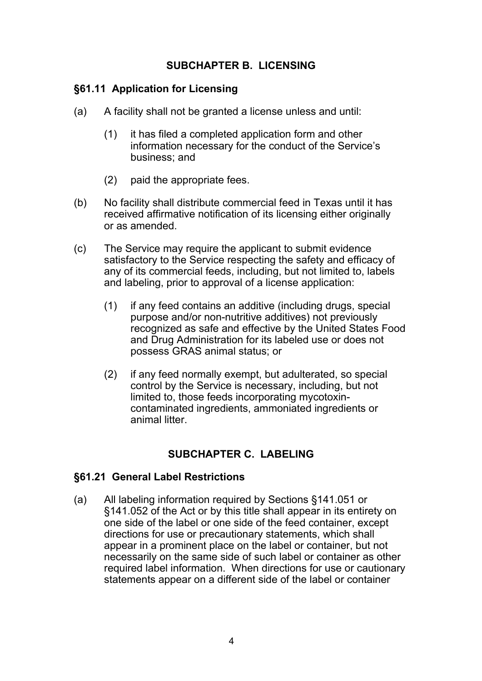### **SUBCHAPTER B. LICENSING**

#### **§61.11 Application for Licensing**

- (a) A facility shall not be granted a license unless and until:
	- (1) it has filed a completed application form and other information necessary for the conduct of the Service's business; and
	- (2) paid the appropriate fees.
- (b) No facility shall distribute commercial feed in Texas until it has received affirmative notification of its licensing either originally or as amended.
- (c) The Service may require the applicant to submit evidence satisfactory to the Service respecting the safety and efficacy of any of its commercial feeds, including, but not limited to, labels and labeling, prior to approval of a license application:
	- (1) if any feed contains an additive (including drugs, special purpose and/or non-nutritive additives) not previously recognized as safe and effective by the United States Food and Drug Administration for its labeled use or does not possess GRAS animal status; or
	- (2) if any feed normally exempt, but adulterated, so special control by the Service is necessary, including, but not limited to, those feeds incorporating mycotoxin contaminated ingredients, ammoniated ingredients or animal litter.

# **SUBCHAPTER C. LABELING**

#### **§61.21 General Label Restrictions**

(a) All labeling information required by Sections §141.051 or §141.052 of the Act or by this title shall appear in its entirety on one side of the label or one side of the feed container, except directions for use or precautionary statements, which shall appear in a prominent place on the label or container, but not necessarily on the same side of such label or container as other required label information. When directions for use or cautionary statements appear on a different side of the label or container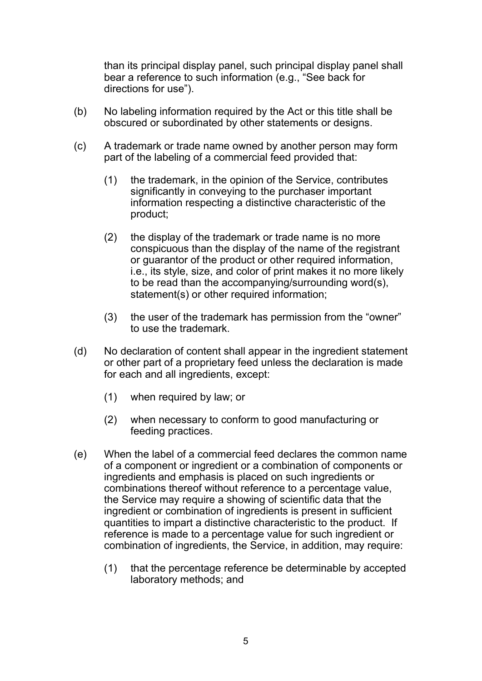than its principal display panel, such principal display panel shall bear a reference to such information (e.g., "See back for directions for use").

- (b) No labeling information required by the Act or this title shall be obscured or subordinated by other statements or designs.
- (c) A trademark or trade name owned by another person may form part of the labeling of a commercial feed provided that:
	- (1) the trademark, in the opinion of the Service, contributes significantly in conveying to the purchaser important information respecting a distinctive characteristic of the product;
	- (2) the display of the trademark or trade name is no more conspicuous than the display of the name of the registrant or guarantor of the product or other required information, i.e., its style, size, and color of print makes it no more likely to be read than the accompanying/surrounding word(s), statement(s) or other required information;
	- (3) the user of the trademark has permission from the "owner" to use the trademark.
- (d) No declaration of content shall appear in the ingredient statement or other part of a proprietary feed unless the declaration is made for each and all ingredients, except:
	- (1) when required by law; or
	- (2) when necessary to conform to good manufacturing or feeding practices.
- (e) When the label of a commercial feed declares the common name of a component or ingredient or a combination of components or ingredients and emphasis is placed on such ingredients or combinations thereof without reference to a percentage value, the Service may require a showing of scientific data that the ingredient or combination of ingredients is present in sufficient quantities to impart a distinctive characteristic to the product. If reference is made to a percentage value for such ingredient or combination of ingredients, the Service, in addition, may require:
	- (1) that the percentage reference be determinable by accepted laboratory methods; and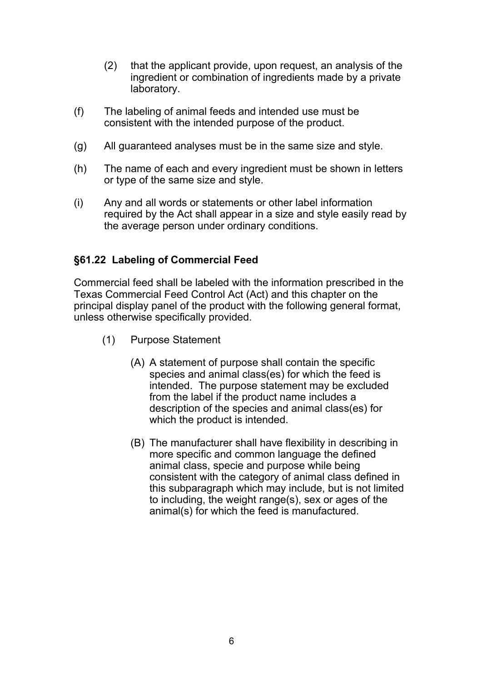- (2) that the applicant provide, upon request, an analysis of the ingredient or combination of ingredients made by a private laboratory.
- (f) The labeling of animal feeds and intended use must be consistent with the intended purpose of the product.
- (g) All guaranteed analyses must be in the same size and style.
- (h) The name of each and every ingredient must be shown in letters or type of the same size and style.
- (i) Any and all words or statements or other label information required by the Act shall appear in a size and style easily read by the average person under ordinary conditions.

#### **§61.22 Labeling of Commercial Feed**

Commercial feed shall be labeled with the information prescribed in the Texas Commercial Feed Control Act (Act) and this chapter on the principal display panel of the product with the following general format, unless otherwise specifically provided.

- (1) Purpose Statement
	- (A) A statement of purpose shall contain the specific species and animal class(es) for which the feed is intended. The purpose statement may be excluded from the label if the product name includes a description of the species and animal class(es) for which the product is intended.
	- (B) The manufacturer shall have flexibility in describing in more specific and common language the defined animal class, specie and purpose while being consistent with the category of animal class defined in this subparagraph which may include, but is not limited to including, the weight range(s), sex or ages of the animal(s) for which the feed is manufactured.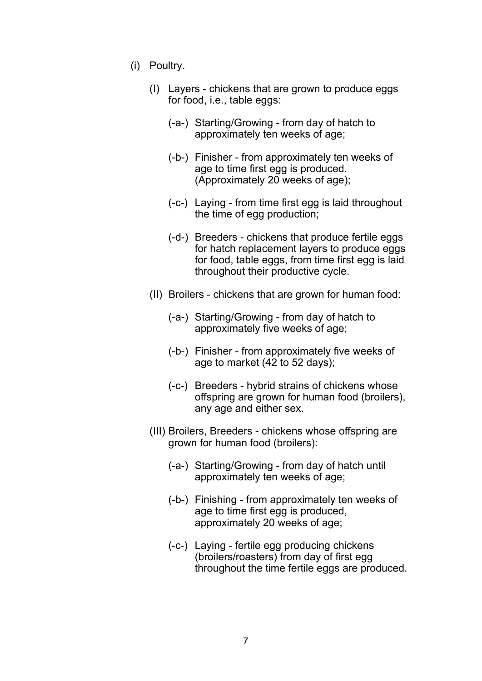- (i) Poultry.
	- (I) Layers chickens that are grown to produce eggs for food, i.e., table eggs:
		- (-a-) Starting/Growing from day of hatch to approximately ten weeks of age;
		- (-b-) Finisher from approximately ten weeks of age to time first egg is produced. (Approximately 20 weeks of age);
		- (-c-) Laying from time first egg is laid throughout the time of egg production;
		- (-d-) Breeders chickens that produce fertile eggs for hatch replacement layers to produce eggs for food, table eggs, from time first egg is laid throughout their productive cycle.
	- (II) Broilers chickens that are grown for human food:
		- (-a-) Starting/Growing from day of hatch to approximately five weeks of age;
		- (-b-) Finisher from approximately five weeks of age to market (42 to 52 days);
		- (-c-) Breeders hybrid strains of chickens whose offspring are grown for human food (broilers), any age and either sex.
	- (III) Broilers, Breeders chickens whose offspring are grown for human food (broilers):
		- (-a-) Starting/Growing from day of hatch until approximately ten weeks of age;
		- (-b-) Finishing from approximately ten weeks of age to time first egg is produced, approximately 20 weeks of age;
		- (-c-) Laying fertile egg producing chickens (broilers/roasters) from day of first egg throughout the time fertile eggs are produced.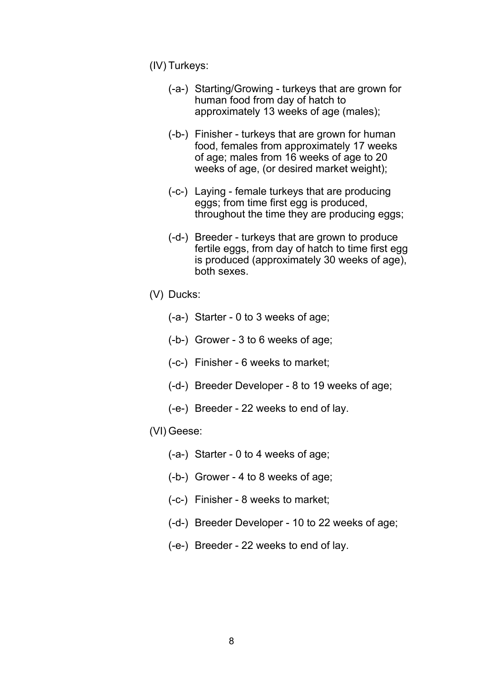(IV) Turkeys:

- (-a-) Starting/Growing turkeys that are grown for human food from day of hatch to approximately 13 weeks of age (males);
- (-b-) Finisher turkeys that are grown for human food, females from approximately 17 weeks of age; males from 16 weeks of age to 20 weeks of age, (or desired market weight);
- (-c-) Laying female turkeys that are producing eggs; from time first egg is produced, throughout the time they are producing eggs;
- (-d-) Breeder turkeys that are grown to produce fertile eggs, from day of hatch to time first egg is produced (approximately 30 weeks of age), both sexes.
- (V) Ducks:
	- (-a-) Starter 0 to 3 weeks of age;
	- (-b-) Grower 3 to 6 weeks of age;
	- (-c-) Finisher 6 weeks to market;
	- (-d-) Breeder Developer 8 to 19 weeks of age;
	- (-e-) Breeder 22 weeks to end of lay.

#### (VI) Geese:

- (-a-) Starter 0 to 4 weeks of age;
- (-b-) Grower 4 to 8 weeks of age;
- (-c-) Finisher 8 weeks to market;
- (-d-) Breeder Developer 10 to 22 weeks of age;
- (-e-) Breeder 22 weeks to end of lay.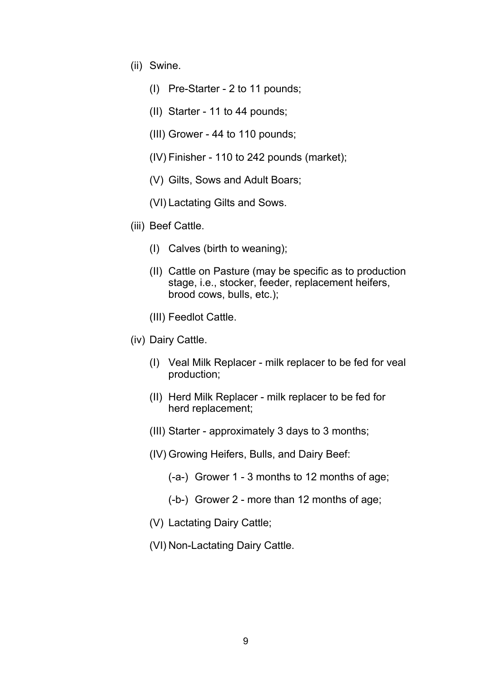- (ii) Swine.
	- (I) Pre-Starter 2 to 11 pounds;
	- (II) Starter 11 to 44 pounds;
	- (III) Grower 44 to 110 pounds;
	- (IV) Finisher 110 to 242 pounds (market);
	- (V) Gilts, Sows and Adult Boars;
	- (VI) Lactating Gilts and Sows.
- (iii) Beef Cattle.
	- (I) Calves (birth to weaning);
	- (II) Cattle on Pasture (may be specific as to production stage, i.e., stocker, feeder, replacement heifers, brood cows, bulls, etc.);
	- (III) Feedlot Cattle.
- (iv) Dairy Cattle.
	- (I) Veal Milk Replacer milk replacer to be fed for veal production;
	- (II) Herd Milk Replacer milk replacer to be fed for herd replacement;
	- (III) Starter approximately 3 days to 3 months;
	- (IV) Growing Heifers, Bulls, and Dairy Beef:
		- (-a-) Grower 1 3 months to 12 months of age;
		- (-b-) Grower 2 more than 12 months of age;
	- (V) Lactating Dairy Cattle;
	- (VI) Non-Lactating Dairy Cattle.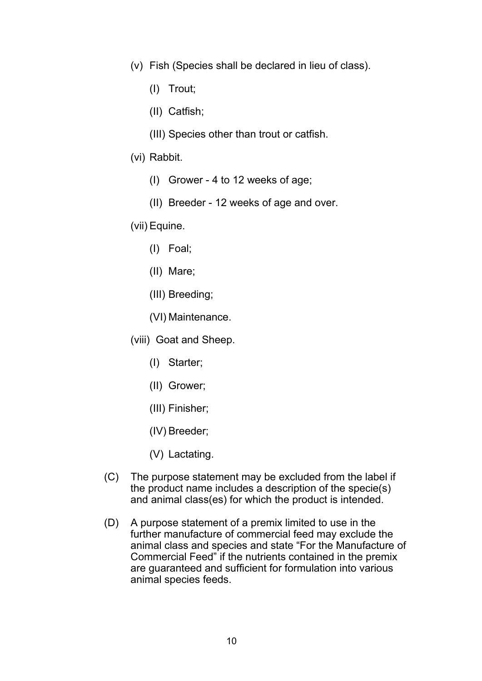- (v) Fish (Species shall be declared in lieu of class).
	- (I) Trout;
	- (II) Catfish;
	- (III) Species other than trout or catfish.
- (vi) Rabbit.
	- (I) Grower 4 to 12 weeks of age;
	- (II) Breeder 12 weeks of age and over.
- (vii) Equine.
	- (I) Foal;
	- (II) Mare;
	- (III) Breeding;
	- (VI) Maintenance.
- (viii) Goat and Sheep.
	- (I) Starter;
	- (II) Grower;
	- (III) Finisher;
	- (IV) Breeder;
	- (V) Lactating.
- (C) The purpose statement may be excluded from the label if the product name includes a description of the specie(s) and animal class(es) for which the product is intended.
- (D) A purpose statement of a premix limited to use in the further manufacture of commercial feed may exclude the animal class and species and state "For the Manufacture of Commercial Feed" if the nutrients contained in the premix are guaranteed and sufficient for formulation into various animal species feeds.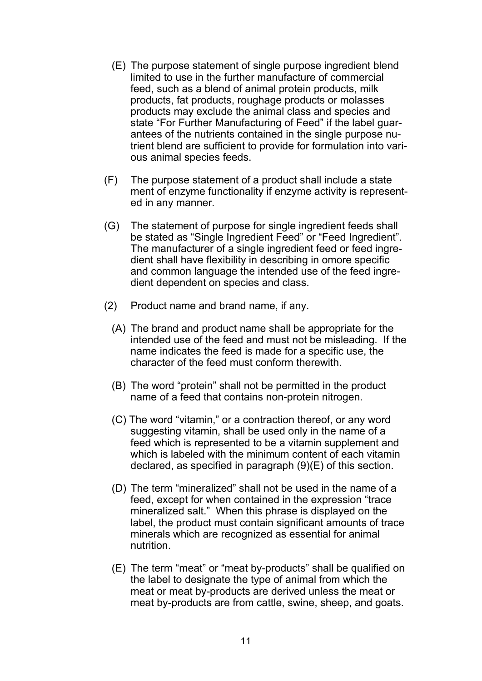- (E) The purpose statement of single purpose ingredient blend limited to use in the further manufacture of commercial feed, such as a blend of animal protein products, milk products, fat products, roughage products or molasses products may exclude the animal class and species and state "For Further Manufacturing of Feed" if the label guar antees of the nutrients contained in the single purpose nu trient blend are sufficient to provide for formulation into vari ous animal species feeds.
- (F) The purpose statement of a product shall include a state ment of enzyme functionality if enzyme activity is represent ed in any manner.
- (G) The statement of purpose for single ingredient feeds shall be stated as "Single Ingredient Feed" or "Feed Ingredient". The manufacturer of a single ingredient feed or feed ingre dient shall have flexibility in describing in omore specific and common language the intended use of the feed ingre dient dependent on species and class.
- (2) Product name and brand name, if any.
	- (A) The brand and product name shall be appropriate for the intended use of the feed and must not be misleading. If the name indicates the feed is made for a specific use, the character of the feed must conform therewith.
	- (B) The word "protein" shall not be permitted in the product name of a feed that contains non-protein nitrogen.
	- (C) The word "vitamin," or a contraction thereof, or any word suggesting vitamin, shall be used only in the name of a feed which is represented to be a vitamin supplement and which is labeled with the minimum content of each vitamin declared, as specified in paragraph (9)(E) of this section.
	- (D) The term "mineralized" shall not be used in the name of a feed, except for when contained in the expression "trace mineralized salt." When this phrase is displayed on the label, the product must contain significant amounts of trace minerals which are recognized as essential for animal nutrition.
	- (E) The term "meat" or "meat by-products" shall be qualified on the label to designate the type of animal from which the meat or meat by-products are derived unless the meat or meat by-products are from cattle, swine, sheep, and goats.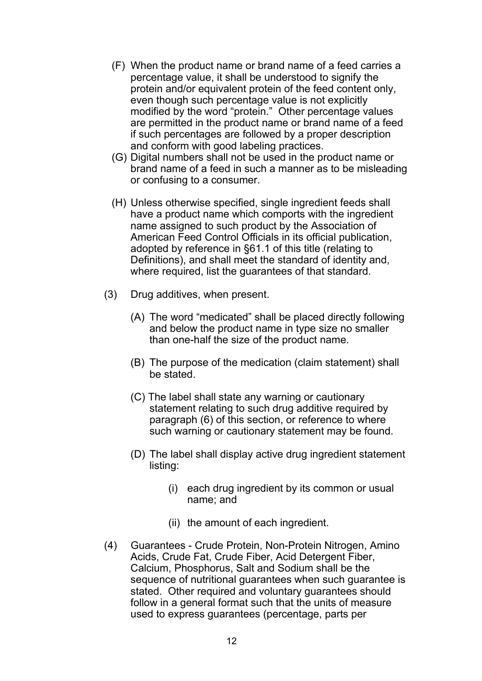- (F) When the product name or brand name of a feed carries a percentage value, it shall be understood to signify the protein and/or equivalent protein of the feed content only, even though such percentage value is not explicitly modified by the word "protein." Other percentage values are permitted in the product name or brand name of a feed if such percentages are followed by a proper description and conform with good labeling practices.
- (G) Digital numbers shall not be used in the product name or brand name of a feed in such a manner as to be misleading or confusing to a consumer.
- (H) Unless otherwise specified, single ingredient feeds shall have a product name which comports with the ingredient name assigned to such product by the Association of American Feed Control Officials in its official publication, adopted by reference in §61.1 of this title (relating to Definitions), and shall meet the standard of identity and, where required, list the guarantees of that standard.
- (3) Drug additives, when present.
	- (A) The word "medicated" shall be placed directly following and below the product name in type size no smaller than one-half the size of the product name.
	- (B) The purpose of the medication (claim statement) shall be stated.
	- (C) The label shall state any warning or cautionary statement relating to such drug additive required by paragraph (6) of this section, or reference to where such warning or cautionary statement may be found.
	- (D) The label shall display active drug ingredient statement listing:
		- (i) each drug ingredient by its common or usual name; and
		- (ii) the amount of each ingredient.
- (4) Guarantees Crude Protein, Non-Protein Nitrogen, Amino Acids, Crude Fat, Crude Fiber, Acid Detergent Fiber, Calcium, Phosphorus, Salt and Sodium shall be the sequence of nutritional guarantees when such guarantee is stated. Other required and voluntary guarantees should follow in a general format such that the units of measure used to express guarantees (percentage, parts per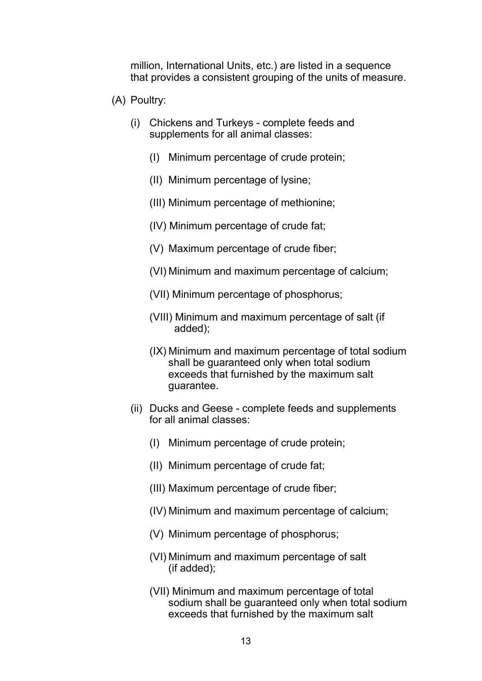million, International Units, etc.) are listed in a sequence that provides a consistent grouping of the units of measure.

- (A) Poultry:
	- (i) Chickens and Turkeys complete feeds and supplements for all animal classes:
		- (I) Minimum percentage of crude protein;
		- (II) Minimum percentage of lysine;
		- (III) Minimum percentage of methionine;
		- (IV) Minimum percentage of crude fat;
		- (V) Maximum percentage of crude fiber;
		- (VI) Minimum and maximum percentage of calcium;
		- (VII) Minimum percentage of phosphorus;
		- (VIII) Minimum and maximum percentage of salt (if added);
		- (IX) Minimum and maximum percentage of total sodium shall be guaranteed only when total sodium exceeds that furnished by the maximum salt guarantee.
	- (ii) Ducks and Geese complete feeds and supplements for all animal classes:
		- (I) Minimum percentage of crude protein;
		- (II) Minimum percentage of crude fat;
		- (III) Maximum percentage of crude fiber;
		- (IV) Minimum and maximum percentage of calcium;
		- (V) Minimum percentage of phosphorus;
		- (VI) Minimum and maximum percentage of salt (if added);
		- (VII) Minimum and maximum percentage of total sodium shall be guaranteed only when total sodium exceeds that furnished by the maximum salt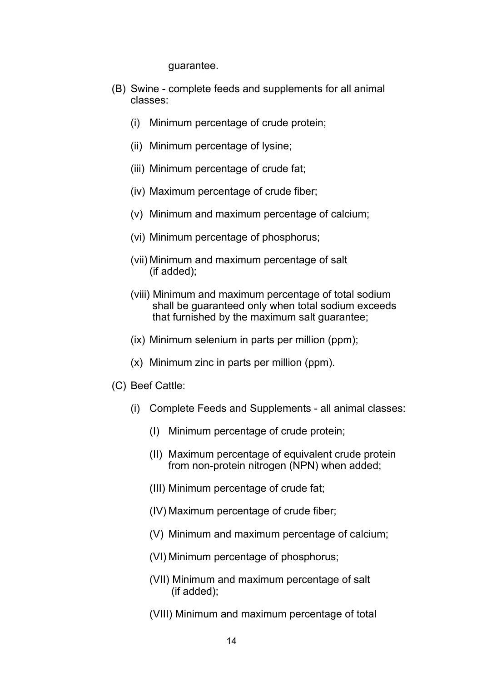guarantee.

- (B) Swine complete feeds and supplements for all animal classes:
	- (i) Minimum percentage of crude protein;
	- (ii) Minimum percentage of lysine;
	- (iii) Minimum percentage of crude fat;
	- (iv) Maximum percentage of crude fiber;
	- (v) Minimum and maximum percentage of calcium;
	- (vi) Minimum percentage of phosphorus;
	- (vii) Minimum and maximum percentage of salt (if added);
	- (viii) Minimum and maximum percentage of total sodium shall be guaranteed only when total sodium exceeds that furnished by the maximum salt guarantee;
	- (ix) Minimum selenium in parts per million (ppm);
	- (x) Minimum zinc in parts per million (ppm).
- (C) Beef Cattle:
	- (i) Complete Feeds and Supplements all animal classes:
		- (I) Minimum percentage of crude protein;
		- (II) Maximum percentage of equivalent crude protein from non-protein nitrogen (NPN) when added;
		- (III) Minimum percentage of crude fat;
		- (IV) Maximum percentage of crude fiber;
		- (V) Minimum and maximum percentage of calcium;
		- (VI) Minimum percentage of phosphorus;
		- (VII) Minimum and maximum percentage of salt (if added);
		- (VIII) Minimum and maximum percentage of total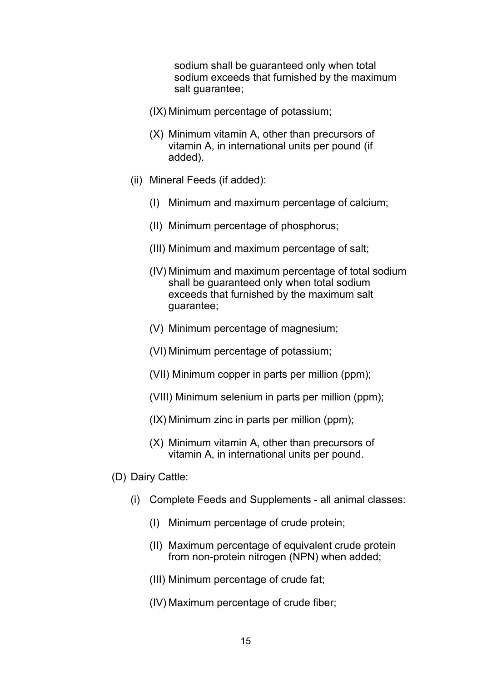sodium shall be guaranteed only when total sodium exceeds that furnished by the maximum salt guarantee:

- (IX) Minimum percentage of potassium;
- (X) Minimum vitamin A, other than precursors of vitamin A, in international units per pound (if added).
- (ii) Mineral Feeds (if added):
	- (I) Minimum and maximum percentage of calcium;
	- (II) Minimum percentage of phosphorus;
	- (III) Minimum and maximum percentage of salt;
	- (IV) Minimum and maximum percentage of total sodium shall be guaranteed only when total sodium exceeds that furnished by the maximum salt guarantee;
	- (V) Minimum percentage of magnesium;
	- (VI) Minimum percentage of potassium;
	- (VII) Minimum copper in parts per million (ppm);
	- (VIII) Minimum selenium in parts per million (ppm);
	- (IX) Minimum zinc in parts per million (ppm);
	- (X) Minimum vitamin A, other than precursors of vitamin A, in international units per pound.
- (D) Dairy Cattle:
	- (i) Complete Feeds and Supplements all animal classes:
		- (I) Minimum percentage of crude protein;
		- (II) Maximum percentage of equivalent crude protein from non-protein nitrogen (NPN) when added;
		- (III) Minimum percentage of crude fat;
		- (IV) Maximum percentage of crude fiber;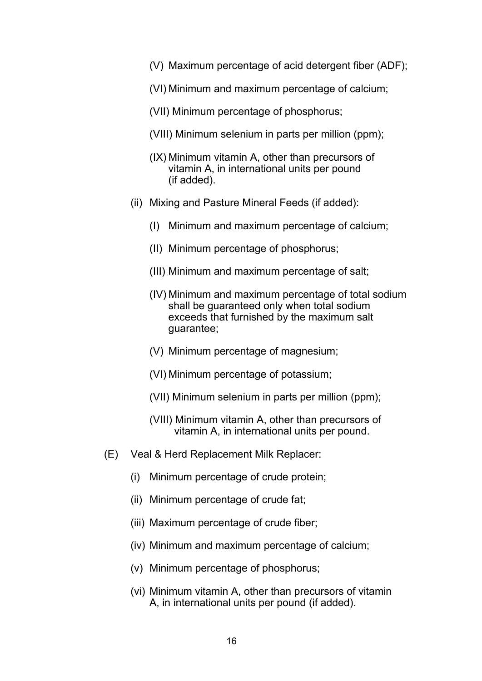- (V) Maximum percentage of acid detergent fiber (ADF);
- (VI) Minimum and maximum percentage of calcium;
- (VII) Minimum percentage of phosphorus;
- (VIII) Minimum selenium in parts per million (ppm);
- (IX) Minimum vitamin A, other than precursors of vitamin A, in international units per pound (if added).
- (ii) Mixing and Pasture Mineral Feeds (if added):
	- (I) Minimum and maximum percentage of calcium;
	- (II) Minimum percentage of phosphorus;
	- (III) Minimum and maximum percentage of salt;
	- (IV) Minimum and maximum percentage of total sodium shall be guaranteed only when total sodium exceeds that furnished by the maximum salt guarantee;
	- (V) Minimum percentage of magnesium;
	- (VI) Minimum percentage of potassium;
	- (VII) Minimum selenium in parts per million (ppm);
	- (VIII) Minimum vitamin A, other than precursors of vitamin A, in international units per pound.
- (E) Veal & Herd Replacement Milk Replacer:
	- (i) Minimum percentage of crude protein;
	- (ii) Minimum percentage of crude fat;
	- (iii) Maximum percentage of crude fiber;
	- (iv) Minimum and maximum percentage of calcium;
	- (v) Minimum percentage of phosphorus;
	- (vi) Minimum vitamin A, other than precursors of vitamin A, in international units per pound (if added).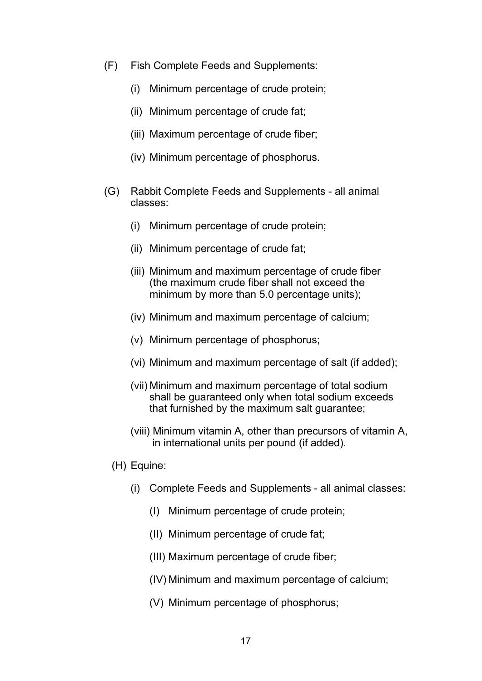- (F) Fish Complete Feeds and Supplements:
	- (i) Minimum percentage of crude protein;
	- (ii) Minimum percentage of crude fat;
	- (iii) Maximum percentage of crude fiber;
	- (iv) Minimum percentage of phosphorus.
- (G) Rabbit Complete Feeds and Supplements all animal classes:
	- (i) Minimum percentage of crude protein;
	- (ii) Minimum percentage of crude fat;
	- (iii) Minimum and maximum percentage of crude fiber (the maximum crude fiber shall not exceed the minimum by more than 5.0 percentage units);
	- (iv) Minimum and maximum percentage of calcium;
	- (v) Minimum percentage of phosphorus;
	- (vi) Minimum and maximum percentage of salt (if added);
	- (vii) Minimum and maximum percentage of total sodium shall be guaranteed only when total sodium exceeds that furnished by the maximum salt guarantee;
	- (viii) Minimum vitamin A, other than precursors of vitamin A, in international units per pound (if added).
	- (H) Equine:
		- (i) Complete Feeds and Supplements all animal classes:
			- (I) Minimum percentage of crude protein;
			- (II) Minimum percentage of crude fat;
			- (III) Maximum percentage of crude fiber;
			- (IV) Minimum and maximum percentage of calcium;
			- (V) Minimum percentage of phosphorus;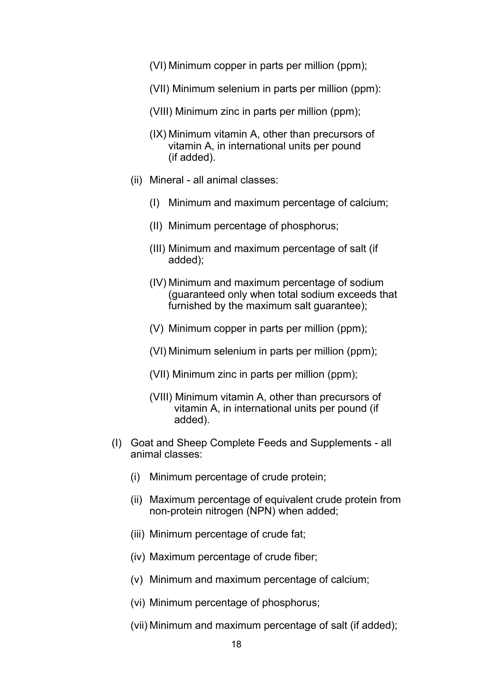- (VI) Minimum copper in parts per million (ppm);
- (VII) Minimum selenium in parts per million (ppm):
- (VIII) Minimum zinc in parts per million (ppm);
- (IX) Minimum vitamin A, other than precursors of vitamin A, in international units per pound (if added).
- (ii) Mineral all animal classes:
	- (I) Minimum and maximum percentage of calcium;
	- (II) Minimum percentage of phosphorus;
	- (III) Minimum and maximum percentage of salt (if added);
	- (IV) Minimum and maximum percentage of sodium (guaranteed only when total sodium exceeds that furnished by the maximum salt guarantee);
	- (V) Minimum copper in parts per million (ppm);
	- (VI) Minimum selenium in parts per million (ppm);
	- (VII) Minimum zinc in parts per million (ppm);
	- (VIII) Minimum vitamin A, other than precursors of vitamin A, in international units per pound (if added).
- (I) Goat and Sheep Complete Feeds and Supplements all animal classes:
	- (i) Minimum percentage of crude protein;
	- (ii) Maximum percentage of equivalent crude protein from non-protein nitrogen (NPN) when added;
	- (iii) Minimum percentage of crude fat;
	- (iv) Maximum percentage of crude fiber;
	- (v) Minimum and maximum percentage of calcium;
	- (vi) Minimum percentage of phosphorus;
	- (vii) Minimum and maximum percentage of salt (if added);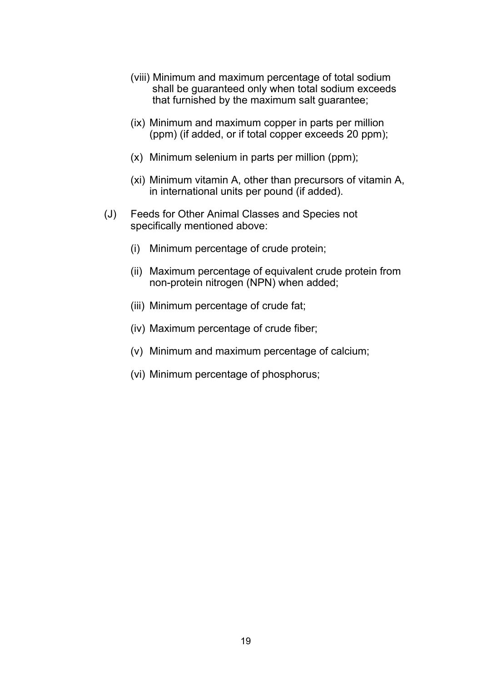- (viii) Minimum and maximum percentage of total sodium shall be guaranteed only when total sodium exceeds that furnished by the maximum salt guarantee;
- (ix) Minimum and maximum copper in parts per million (ppm) (if added, or if total copper exceeds 20 ppm);
- (x) Minimum selenium in parts per million (ppm);
- (xi) Minimum vitamin A, other than precursors of vitamin A, in international units per pound (if added).
- (J) Feeds for Other Animal Classes and Species not specifically mentioned above:
	- (i) Minimum percentage of crude protein;
	- (ii) Maximum percentage of equivalent crude protein from non-protein nitrogen (NPN) when added;
	- (iii) Minimum percentage of crude fat;
	- (iv) Maximum percentage of crude fiber;
	- (v) Minimum and maximum percentage of calcium;
	- (vi) Minimum percentage of phosphorus;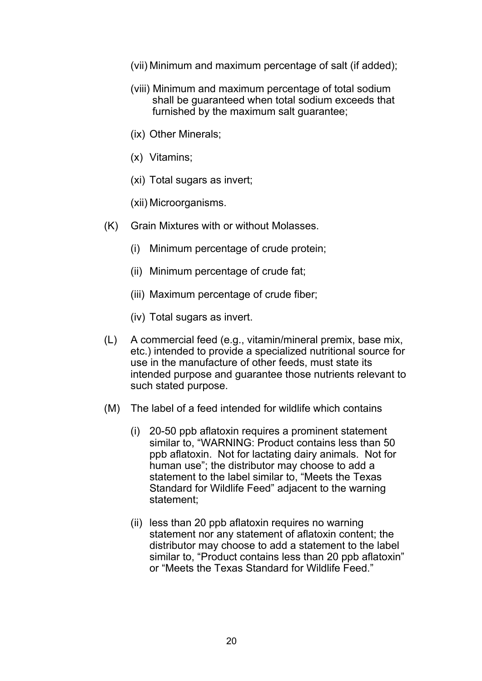- (vii) Minimum and maximum percentage of salt (if added);
- (viii) Minimum and maximum percentage of total sodium shall be guaranteed when total sodium exceeds that furnished by the maximum salt quarantee:
- (ix) Other Minerals;
- (x) Vitamins;
- (xi) Total sugars as invert;
- (xii) Microorganisms.
- (K) Grain Mixtures with or without Molasses.
	- (i) Minimum percentage of crude protein;
	- (ii) Minimum percentage of crude fat;
	- (iii) Maximum percentage of crude fiber;
	- (iv) Total sugars as invert.
- (L) A commercial feed (e.g., vitamin/mineral premix, base mix, etc.) intended to provide a specialized nutritional source for use in the manufacture of other feeds, must state its intended purpose and guarantee those nutrients relevant to such stated purpose.
- (M) The label of a feed intended for wildlife which contains
	- (i) 20-50 ppb aflatoxin requires a prominent statement similar to, "WARNING: Product contains less than 50 ppb aflatoxin. Not for lactating dairy animals. Not for human use"; the distributor may choose to add a statement to the label similar to, "Meets the Texas Standard for Wildlife Feed" adjacent to the warning statement;
	- (ii) less than 20 ppb aflatoxin requires no warning statement nor any statement of aflatoxin content; the distributor may choose to add a statement to the label similar to, "Product contains less than 20 ppb aflatoxin" or "Meets the Texas Standard for Wildlife Feed."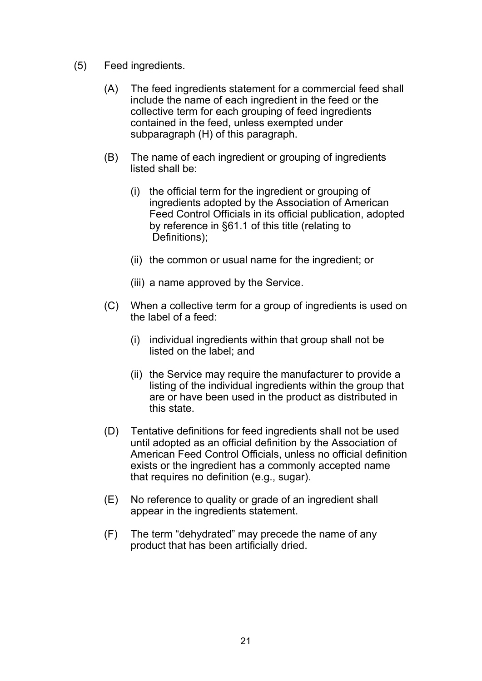- (5) Feed ingredients.
	- (A) The feed ingredients statement for a commercial feed shall include the name of each ingredient in the feed or the collective term for each grouping of feed ingredients contained in the feed, unless exempted under subparagraph (H) of this paragraph.
	- (B) The name of each ingredient or grouping of ingredients listed shall be:
		- (i) the official term for the ingredient or grouping of ingredients adopted by the Association of American Feed Control Officials in its official publication, adopted by reference in §61.1 of this title (relating to Definitions);
		- (ii) the common or usual name for the ingredient; or
		- (iii) a name approved by the Service.
	- (C) When a collective term for a group of ingredients is used on the label of a feed:
		- (i) individual ingredients within that group shall not be listed on the label; and
		- (ii) the Service may require the manufacturer to provide a listing of the individual ingredients within the group that are or have been used in the product as distributed in this state.
	- (D) Tentative definitions for feed ingredients shall not be used until adopted as an official definition by the Association of American Feed Control Officials, unless no official definition exists or the ingredient has a commonly accepted name that requires no definition (e.g., sugar).
	- (E) No reference to quality or grade of an ingredient shall appear in the ingredients statement.
	- (F) The term "dehydrated" may precede the name of any product that has been artificially dried.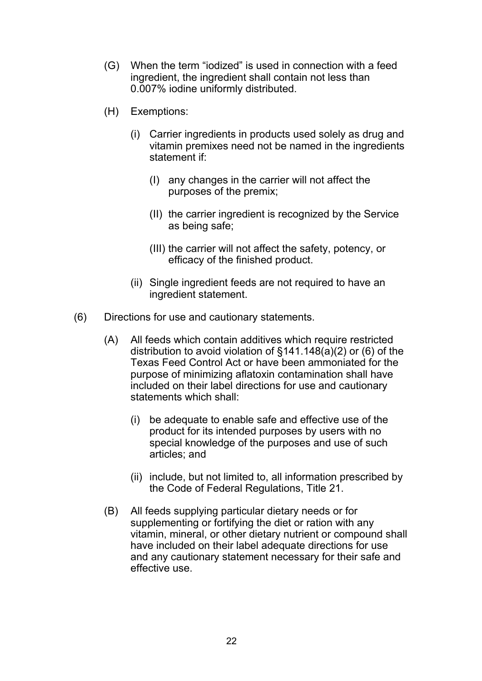- (G) When the term "iodized" is used in connection with a feed ingredient, the ingredient shall contain not less than 0.007% iodine uniformly distributed.
- (H) Exemptions:
	- (i) Carrier ingredients in products used solely as drug and vitamin premixes need not be named in the ingredients statement if:
		- (I) any changes in the carrier will not affect the purposes of the premix;
		- (II) the carrier ingredient is recognized by the Service as being safe;
		- (III) the carrier will not affect the safety, potency, or efficacy of the finished product.
	- (ii) Single ingredient feeds are not required to have an ingredient statement.
- (6) Directions for use and cautionary statements.
	- (A) All feeds which contain additives which require restricted distribution to avoid violation of  $\S$ 141.148(a)(2) or (6) of the Texas Feed Control Act or have been ammoniated for the purpose of minimizing aflatoxin contamination shall have included on their label directions for use and cautionary statements which shall:
		- (i) be adequate to enable safe and effective use of the product for its intended purposes by users with no special knowledge of the purposes and use of such articles; and
		- (ii) include, but not limited to, all information prescribed by the Code of Federal Regulations, Title 21.
	- (B) All feeds supplying particular dietary needs or for supplementing or fortifying the diet or ration with any vitamin, mineral, or other dietary nutrient or compound shall have included on their label adequate directions for use and any cautionary statement necessary for their safe and effective use.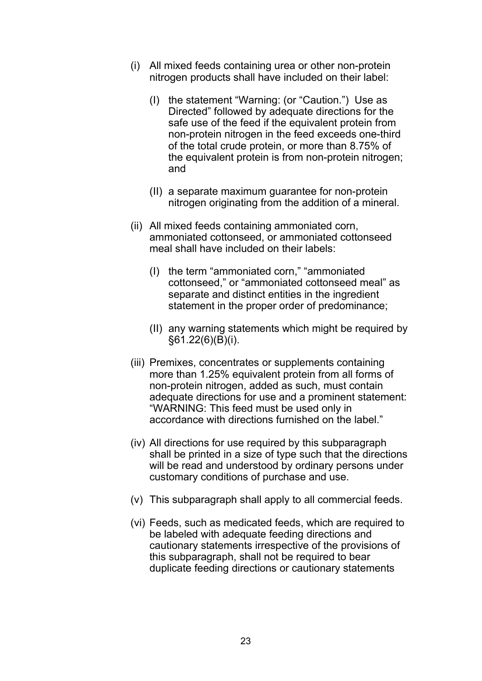- (i) All mixed feeds containing urea or other non-protein nitrogen products shall have included on their label:
	- (I) the statement "Warning: (or "Caution.") Use as Directed" followed by adequate directions for the safe use of the feed if the equivalent protein from non-protein nitrogen in the feed exceeds one-third of the total crude protein, or more than 8.75% of the equivalent protein is from non-protein nitrogen; and
	- (II) a separate maximum guarantee for non-protein nitrogen originating from the addition of a mineral.
- (ii) All mixed feeds containing ammoniated corn, ammoniated cottonseed, or ammoniated cottonseed meal shall have included on their labels:
	- (I) the term "ammoniated corn," "ammoniated cottonseed," or "ammoniated cottonseed meal" as separate and distinct entities in the ingredient statement in the proper order of predominance;
	- (II) any warning statements which might be required by §61.22(6)(B)(i).
- (iii) Premixes, concentrates or supplements containing more than 1.25% equivalent protein from all forms of non-protein nitrogen, added as such, must contain adequate directions for use and a prominent statement: "WARNING: This feed must be used only in accordance with directions furnished on the label."
- (iv) All directions for use required by this subparagraph shall be printed in a size of type such that the directions will be read and understood by ordinary persons under customary conditions of purchase and use.
- (v) This subparagraph shall apply to all commercial feeds.
- (vi) Feeds, such as medicated feeds, which are required to be labeled with adequate feeding directions and cautionary statements irrespective of the provisions of this subparagraph, shall not be required to bear duplicate feeding directions or cautionary statements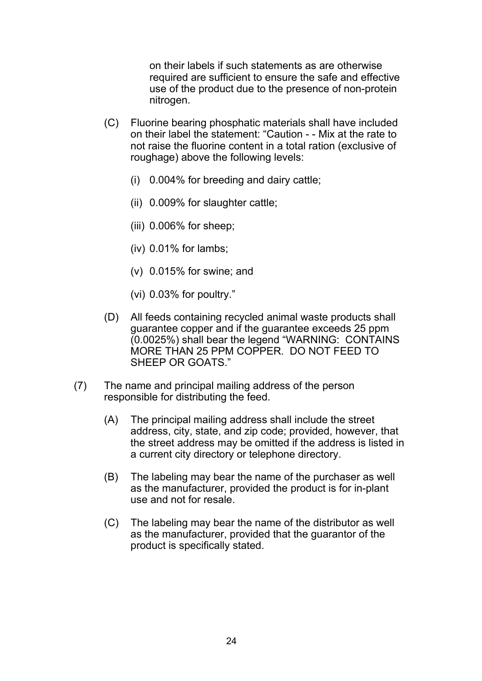on their labels if such statements as are otherwise required are sufficient to ensure the safe and effective use of the product due to the presence of non-protein nitrogen.

- (C) Fluorine bearing phosphatic materials shall have included on their label the statement: "Caution - - Mix at the rate to not raise the fluorine content in a total ration (exclusive of roughage) above the following levels:
	- (i) 0.004% for breeding and dairy cattle;
	- (ii) 0.009% for slaughter cattle;
	- (iii) 0.006% for sheep;
	- (iv) 0.01% for lambs;
	- (v) 0.015% for swine; and
	- (vi) 0.03% for poultry."
- (D) All feeds containing recycled animal waste products shall guarantee copper and if the guarantee exceeds 25 ppm (0.0025%) shall bear the legend "WARNING: CONTAINS MORE THAN 25 PPM COPPER. DO NOT FEED TO SHEEP OR GOATS."
- (7) The name and principal mailing address of the person responsible for distributing the feed.
	- (A) The principal mailing address shall include the street address, city, state, and zip code; provided, however, that the street address may be omitted if the address is listed in a current city directory or telephone directory.
	- (B) The labeling may bear the name of the purchaser as well as the manufacturer, provided the product is for in-plant use and not for resale.
	- (C) The labeling may bear the name of the distributor as well as the manufacturer, provided that the guarantor of the product is specifically stated.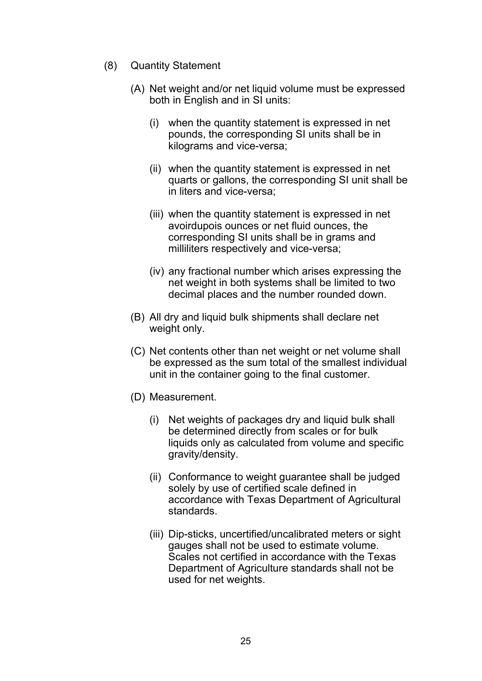- (8) Quantity Statement
	- (A) Net weight and/or net liquid volume must be expressed both in English and in SI units:
		- (i) when the quantity statement is expressed in net pounds, the corresponding SI units shall be in kilograms and vice-versa;
		- (ii) when the quantity statement is expressed in net quarts or gallons, the corresponding SI unit shall be in liters and vice-versa;
		- (iii) when the quantity statement is expressed in net avoirdupois ounces or net fluid ounces, the corresponding SI units shall be in grams and milliliters respectively and vice-versa;
		- (iv) any fractional number which arises expressing the net weight in both systems shall be limited to two decimal places and the number rounded down.
	- (B) All dry and liquid bulk shipments shall declare net weight only.
	- (C) Net contents other than net weight or net volume shall be expressed as the sum total of the smallest individual unit in the container going to the final customer.
	- (D) Measurement.
		- (i) Net weights of packages dry and liquid bulk shall be determined directly from scales or for bulk liquids only as calculated from volume and specific gravity/density.
		- (ii) Conformance to weight guarantee shall be judged solely by use of certified scale defined in accordance with Texas Department of Agricultural standards.
		- (iii) Dip-sticks, uncertified/uncalibrated meters or sight gauges shall not be used to estimate volume. Scales not certified in accordance with the Texas Department of Agriculture standards shall not be used for net weights.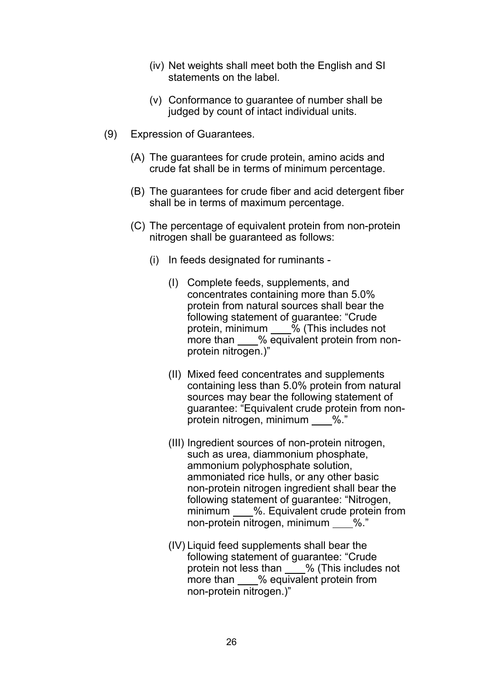- (iv) Net weights shall meet both the English and SI statements on the label.
- (v) Conformance to guarantee of number shall be judged by count of intact individual units.
- (9) Expression of Guarantees.
	- (A) The guarantees for crude protein, amino acids and crude fat shall be in terms of minimum percentage.
	- (B) The guarantees for crude fiber and acid detergent fiber shall be in terms of maximum percentage.
	- (C) The percentage of equivalent protein from non-protein nitrogen shall be guaranteed as follows:
		- (i) In feeds designated for ruminants
			- (I) Complete feeds, supplements, and concentrates containing more than 5.0% protein from natural sources shall bear the following statement of guarantee: "Crude protein, minimum  $\frac{1}{2}$  (This includes not more than % equivalent protein from nonprotein nitrogen.)"
			- (II) Mixed feed concentrates and supplements containing less than 5.0% protein from natural sources may bear the following statement of guarantee: "Equivalent crude protein from non protein nitrogen, minimum %."
			- (III) Ingredient sources of non-protein nitrogen, such as urea, diammonium phosphate, ammonium polyphosphate solution, ammoniated rice hulls, or any other basic non-protein nitrogen ingredient shall bear the following statement of guarantee: "Nitrogen, minimum %. Equivalent crude protein from non-protein nitrogen, minimum %."
			- (IV) Liquid feed supplements shall bear the following statement of guarantee: "Crude protein not less than % (This includes not more than % equivalent protein from non-protein nitrogen.)"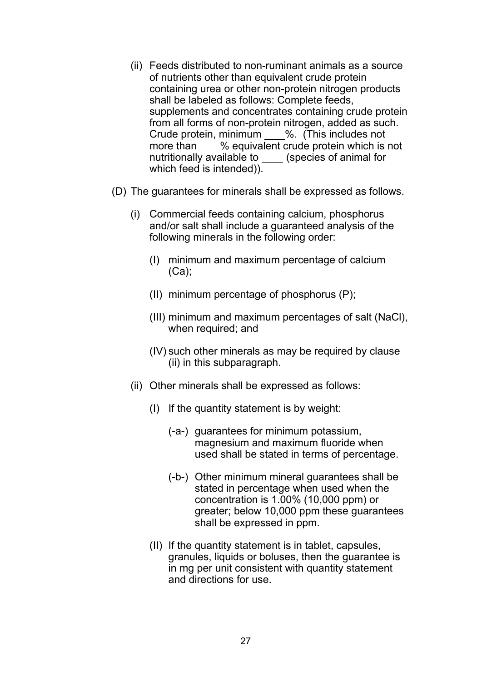- (ii) Feeds distributed to non-ruminant animals as a source of nutrients other than equivalent crude protein containing urea or other non-protein nitrogen products shall be labeled as follows: Complete feeds, supplements and concentrates containing crude protein from all forms of non-protein nitrogen, added as such. Crude protein, minimum %. (This includes not more than % equivalent crude protein which is not nutritionally available to (species of animal for which feed is intended)).
- (D) The guarantees for minerals shall be expressed as follows.
	- (i) Commercial feeds containing calcium, phosphorus and/or salt shall include a guaranteed analysis of the following minerals in the following order:
		- (I) minimum and maximum percentage of calcium (Ca);
		- (II) minimum percentage of phosphorus (P);
		- (III) minimum and maximum percentages of salt (NaCl), when required; and
		- (IV) such other minerals as may be required by clause (ii) in this subparagraph.
	- (ii) Other minerals shall be expressed as follows:
		- (I) If the quantity statement is by weight:
			- (-a-) guarantees for minimum potassium, magnesium and maximum fluoride when used shall be stated in terms of percentage.
			- (-b-) Other minimum mineral guarantees shall be stated in percentage when used when the concentration is 1.00% (10,000 ppm) or greater; below 10,000 ppm these guarantees shall be expressed in ppm.
		- (II) If the quantity statement is in tablet, capsules, granules, liquids or boluses, then the guarantee is in mg per unit consistent with quantity statement and directions for use.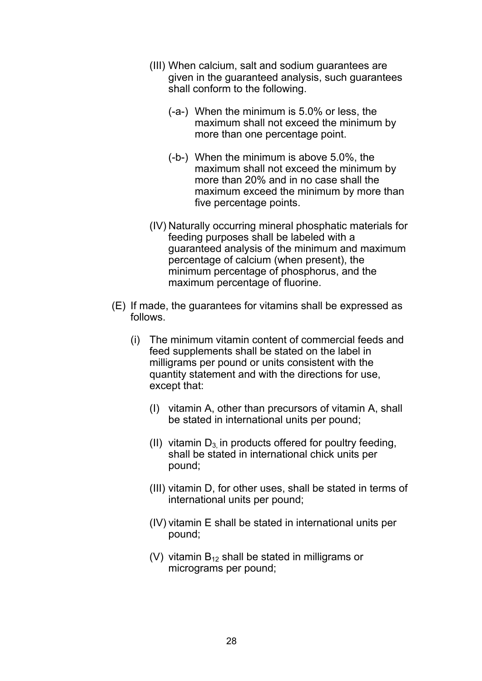- (III) When calcium, salt and sodium guarantees are given in the guaranteed analysis, such guarantees shall conform to the following.
	- (-a-) When the minimum is 5.0% or less, the maximum shall not exceed the minimum by more than one percentage point.
	- (-b-) When the minimum is above 5.0%, the maximum shall not exceed the minimum by more than 20% and in no case shall the maximum exceed the minimum by more than five percentage points.
- (IV) Naturally occurring mineral phosphatic materials for feeding purposes shall be labeled with a guaranteed analysis of the minimum and maximum percentage of calcium (when present), the minimum percentage of phosphorus, and the maximum percentage of fluorine.
- (E) If made, the guarantees for vitamins shall be expressed as follows.
	- (i) The minimum vitamin content of commercial feeds and feed supplements shall be stated on the label in milligrams per pound or units consistent with the quantity statement and with the directions for use, except that:
		- (I) vitamin A, other than precursors of vitamin A, shall be stated in international units per pound;
		- (II) vitamin  $D_3$  in products offered for poultry feeding, shall be stated in international chick units per pound;
		- (III) vitamin D, for other uses, shall be stated in terms of international units per pound;
		- (IV) vitamin E shall be stated in international units per pound;
		- (V) vitamin  $B_{12}$  shall be stated in milligrams or micrograms per pound;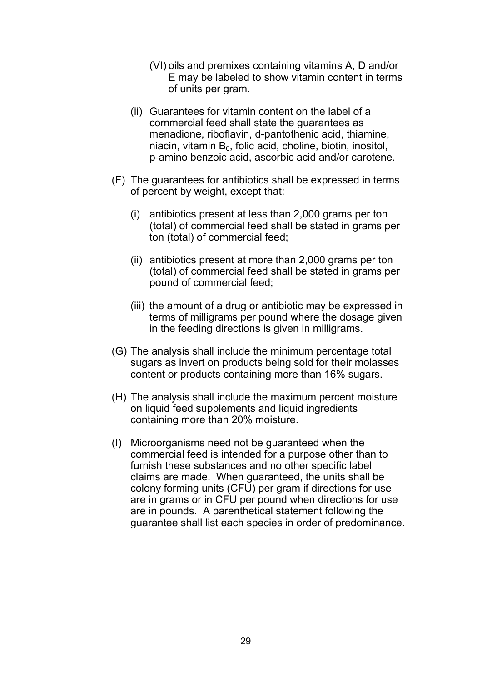- (VI) oils and premixes containing vitamins A, D and/or E may be labeled to show vitamin content in terms of units per gram.
- (ii) Guarantees for vitamin content on the label of a commercial feed shall state the guarantees as menadione, riboflavin, d-pantothenic acid, thiamine, niacin, vitamin  $B_6$ , folic acid, choline, biotin, inositol, p-amino benzoic acid, ascorbic acid and/or carotene.
- (F) The guarantees for antibiotics shall be expressed in terms of percent by weight, except that:
	- (i) antibiotics present at less than 2,000 grams per ton (total) of commercial feed shall be stated in grams per ton (total) of commercial feed;
	- (ii) antibiotics present at more than 2,000 grams per ton (total) of commercial feed shall be stated in grams per pound of commercial feed;
	- (iii) the amount of a drug or antibiotic may be expressed in terms of milligrams per pound where the dosage given in the feeding directions is given in milligrams.
- (G) The analysis shall include the minimum percentage total sugars as invert on products being sold for their molasses content or products containing more than 16% sugars.
- (H) The analysis shall include the maximum percent moisture on liquid feed supplements and liquid ingredients containing more than 20% moisture.
- (I) Microorganisms need not be guaranteed when the commercial feed is intended for a purpose other than to furnish these substances and no other specific label claims are made. When guaranteed, the units shall be colony forming units (CFU) per gram if directions for use are in grams or in CFU per pound when directions for use are in pounds. A parenthetical statement following the guarantee shall list each species in order of predominance.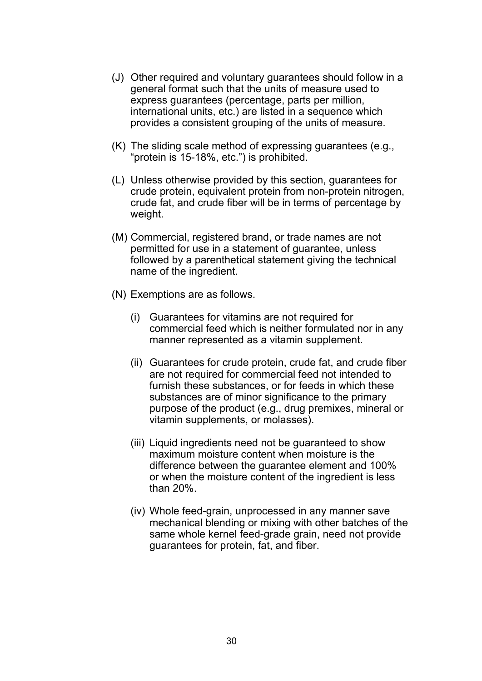- (J) Other required and voluntary guarantees should follow in a general format such that the units of measure used to express guarantees (percentage, parts per million, international units, etc.) are listed in a sequence which provides a consistent grouping of the units of measure.
- (K) The sliding scale method of expressing guarantees (e.g., "protein is 15-18%, etc.") is prohibited.
- (L) Unless otherwise provided by this section, guarantees for crude protein, equivalent protein from non-protein nitrogen, crude fat, and crude fiber will be in terms of percentage by weight.
- (M) Commercial, registered brand, or trade names are not permitted for use in a statement of guarantee, unless followed by a parenthetical statement giving the technical name of the ingredient.
- (N) Exemptions are as follows.
	- (i) Guarantees for vitamins are not required for commercial feed which is neither formulated nor in any manner represented as a vitamin supplement.
	- (ii) Guarantees for crude protein, crude fat, and crude fiber are not required for commercial feed not intended to furnish these substances, or for feeds in which these substances are of minor significance to the primary purpose of the product (e.g., drug premixes, mineral or vitamin supplements, or molasses).
	- (iii) Liquid ingredients need not be guaranteed to show maximum moisture content when moisture is the difference between the guarantee element and 100% or when the moisture content of the ingredient is less than 20%.
	- (iv) Whole feed-grain, unprocessed in any manner save mechanical blending or mixing with other batches of the same whole kernel feed-grade grain, need not provide guarantees for protein, fat, and fiber.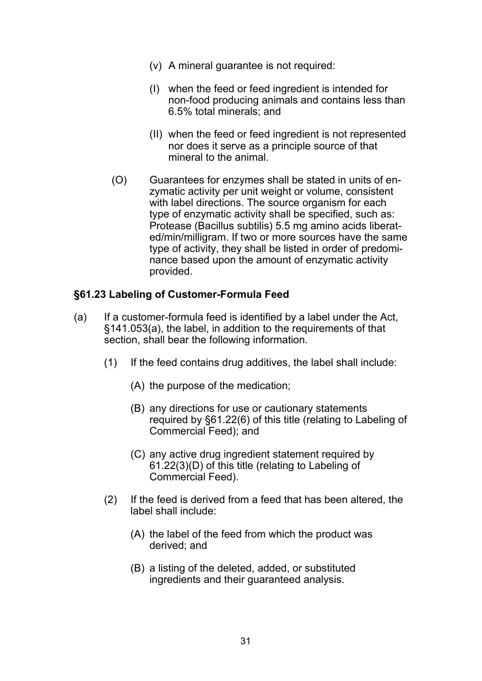- (v) A mineral guarantee is not required:
- (I) when the feed or feed ingredient is intended for non-food producing animals and contains less than 6.5% total minerals; and
- (II) when the feed or feed ingredient is not represented nor does it serve as a principle source of that mineral to the animal.
- (O) Guarantees for enzymes shall be stated in units of en zymatic activity per unit weight or volume, consistent with label directions. The source organism for each type of enzymatic activity shall be specified, such as: Protease (Bacillus subtilis) 5.5 mg amino acids liberat ed/min/milligram. If two or more sources have the same type of activity, they shall be listed in order of predomi nance based upon the amount of enzymatic activity provided.

#### **§61.23 Labeling of Customer-Formula Feed**

- (a) If a customer-formula feed is identified by a label under the Act, §141.053(a), the label, in addition to the requirements of that section, shall bear the following information.
	- (1) If the feed contains drug additives, the label shall include:
		- (A) the purpose of the medication;
		- (B) any directions for use or cautionary statements required by §61.22(6) of this title (relating to Labeling of Commercial Feed); and
		- (C) any active drug ingredient statement required by 61.22(3)(D) of this title (relating to Labeling of Commercial Feed).
	- (2) If the feed is derived from a feed that has been altered, the label shall include:
		- (A) the label of the feed from which the product was derived; and
		- (B) a listing of the deleted, added, or substituted ingredients and their guaranteed analysis.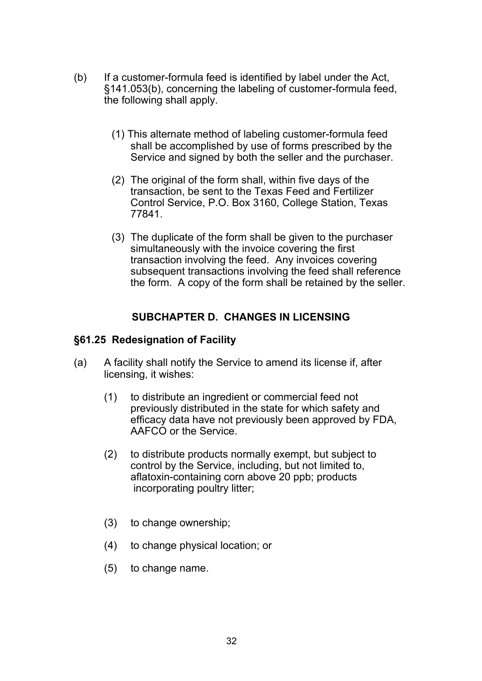- (b) If a customer-formula feed is identified by label under the Act, §141.053(b), concerning the labeling of customer-formula feed, the following shall apply.
	- (1) This alternate method of labeling customer-formula feed shall be accomplished by use of forms prescribed by the Service and signed by both the seller and the purchaser.
	- (2) The original of the form shall, within five days of the transaction, be sent to the Texas Feed and Fertilizer Control Service, P.O. Box 3160, College Station, Texas 77841.
	- (3) The duplicate of the form shall be given to the purchaser simultaneously with the invoice covering the first transaction involving the feed. Any invoices covering subsequent transactions involving the feed shall reference the form. A copy of the form shall be retained by the seller.

# **SUBCHAPTER D. CHANGES IN LICENSING**

#### **§61.25 Redesignation of Facility**

- (a) A facility shall notify the Service to amend its license if, after licensing, it wishes:
	- (1) to distribute an ingredient or commercial feed not previously distributed in the state for which safety and efficacy data have not previously been approved by FDA, AAFCO or the Service.
	- (2) to distribute products normally exempt, but subject to control by the Service, including, but not limited to, aflatoxin-containing corn above 20 ppb; products incorporating poultry litter;
	- (3) to change ownership;
	- (4) to change physical location; or
	- (5) to change name.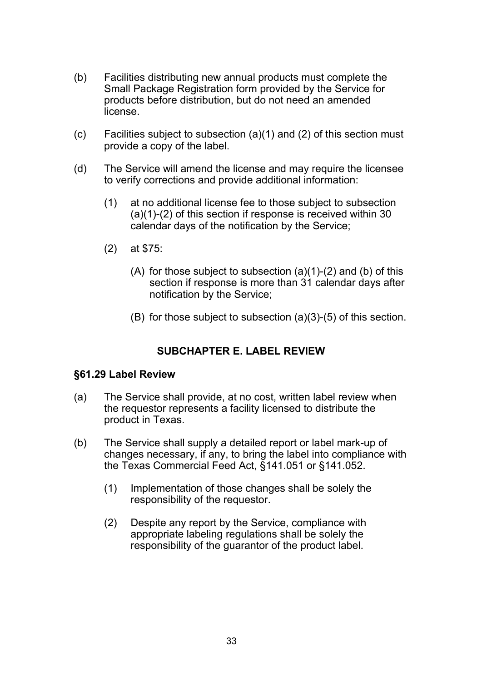- (b) Facilities distributing new annual products must complete the Small Package Registration form provided by the Service for products before distribution, but do not need an amended license.
- (c) Facilities subject to subsection (a)(1) and (2) of this section must provide a copy of the label.
- (d) The Service will amend the license and may require the licensee to verify corrections and provide additional information:
	- (1) at no additional license fee to those subject to subsection (a)(1)-(2) of this section if response is received within 30 calendar days of the notification by the Service;
	- (2) at \$75:
		- (A) for those subject to subsection  $(a)(1)-(2)$  and  $(b)$  of this section if response is more than 31 calendar days after notification by the Service;
		- (B) for those subject to subsection (a)(3)-(5) of this section.

# **SUBCHAPTER E. LABEL REVIEW**

#### **§61.29 Label Review**

- (a) The Service shall provide, at no cost, written label review when the requestor represents a facility licensed to distribute the product in Texas.
- (b) The Service shall supply a detailed report or label mark-up of changes necessary, if any, to bring the label into compliance with the Texas Commercial Feed Act, §141.051 or §141.052.
	- (1) Implementation of those changes shall be solely the responsibility of the requestor.
	- (2) Despite any report by the Service, compliance with appropriate labeling regulations shall be solely the responsibility of the guarantor of the product label.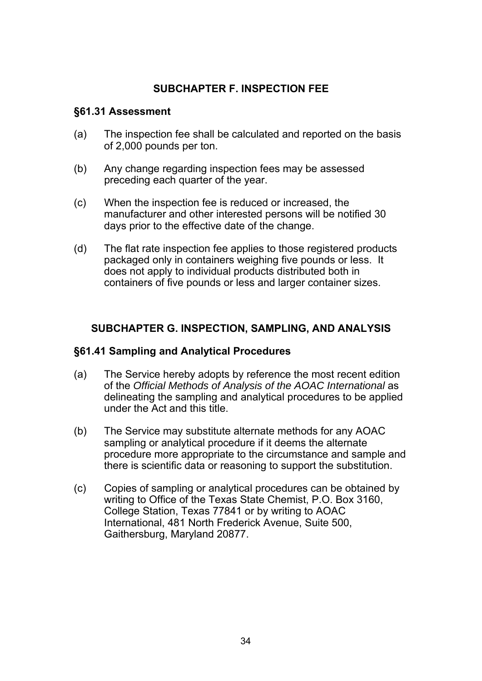# **SUBCHAPTER F. INSPECTION FEE**

#### **§61.31 Assessment**

- (a) The inspection fee shall be calculated and reported on the basis of 2,000 pounds per ton.
- (b) Any change regarding inspection fees may be assessed preceding each quarter of the year.
- (c) When the inspection fee is reduced or increased, the manufacturer and other interested persons will be notified 30 days prior to the effective date of the change.
- (d) The flat rate inspection fee applies to those registered products packaged only in containers weighing five pounds or less. It does not apply to individual products distributed both in containers of five pounds or less and larger container sizes.

# **SUBCHAPTER G. INSPECTION, SAMPLING, AND ANALYSIS**

# **§61.41 Sampling and Analytical Procedures**

- (a) The Service hereby adopts by reference the most recent edition of the *Official Methods of Analysis of the AOAC International* as delineating the sampling and analytical procedures to be applied under the Act and this title.
- (b) The Service may substitute alternate methods for any AOAC sampling or analytical procedure if it deems the alternate procedure more appropriate to the circumstance and sample and there is scientific data or reasoning to support the substitution.
- (c) Copies of sampling or analytical procedures can be obtained by writing to Office of the Texas State Chemist, P.O. Box 3160, College Station, Texas 77841 or by writing to AOAC International, 481 North Frederick Avenue, Suite 500, Gaithersburg, Maryland 20877.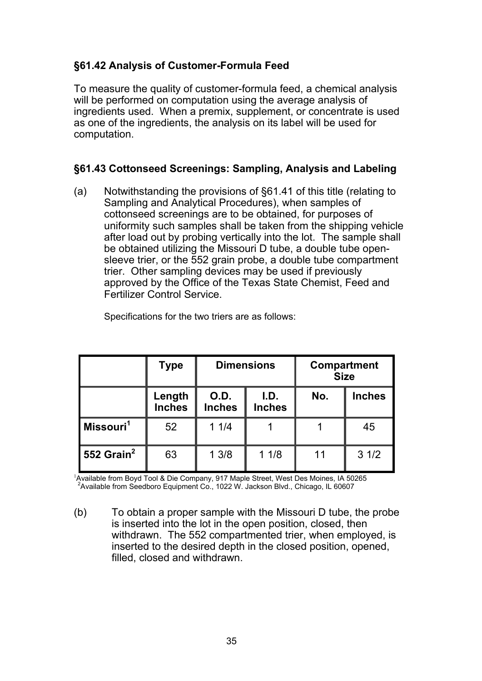# **§61.42 Analysis of Customer-Formula Feed**

To measure the quality of customer-formula feed, a chemical analysis will be performed on computation using the average analysis of ingredients used. When a premix, supplement, or concentrate is used as one of the ingredients, the analysis on its label will be used for computation.

# **§61.43 Cottonseed Screenings: Sampling, Analysis and Labeling**

(a) Notwithstanding the provisions of §61.41 of this title (relating to Sampling and Analytical Procedures), when samples of cottonseed screenings are to be obtained, for purposes of uniformity such samples shall be taken from the shipping vehicle after load out by probing vertically into the lot. The sample shall be obtained utilizing the Missouri D tube, a double tube open sleeve trier, or the 552 grain probe, a double tube compartment trier. Other sampling devices may be used if previously approved by the Office of the Texas State Chemist, Feed and Fertilizer Control Service.

|                        | Type                    | <b>Dimensions</b>     |                       | Compartment<br><b>Size</b> |               |
|------------------------|-------------------------|-----------------------|-----------------------|----------------------------|---------------|
|                        | Length<br><b>Inches</b> | O.D.<br><b>Inches</b> | I.D.<br><b>Inches</b> | No.                        | <b>Inches</b> |
| Missouri <sup>1</sup>  | 52                      | 11/4                  |                       |                            | 45            |
| 552 Grain <sup>2</sup> | 63                      | 13/8                  | 11/8                  | 11                         | 31/2          |

Specifications for the two triers are as follows:

<sup>1</sup>Available from Boyd Tool & Die Company, 917 Maple Street, West Des Moines, IA 50265<br><sup>2</sup>Available from Seedboro Equipment Co., 1022 W. Jackson Blvd., Chicago, IL 60607

(b) To obtain a proper sample with the Missouri D tube, the probe is inserted into the lot in the open position, closed, then withdrawn. The 552 compartmented trier, when employed, is inserted to the desired depth in the closed position, opened, filled, closed and withdrawn.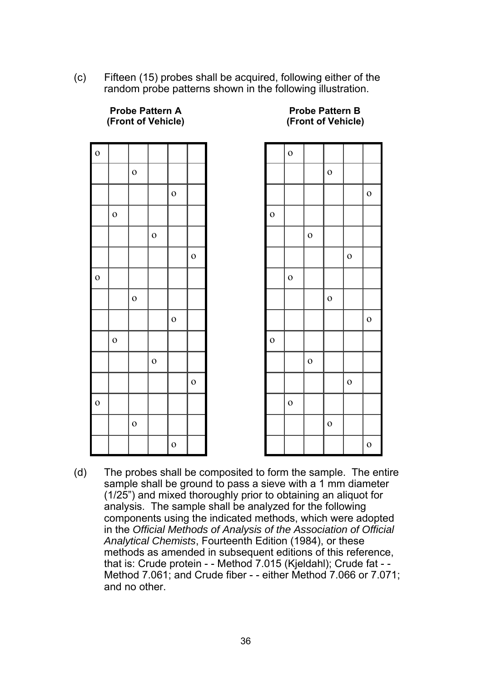(c) Fifteen (15) probes shall be acquired, following either of the random probe patterns shown in the following illustration.

| $\mathbf{o}$ |              |              |              |              |              |
|--------------|--------------|--------------|--------------|--------------|--------------|
|              |              | $\mathbf{o}$ |              |              |              |
|              |              |              |              | $\mathbf{o}$ |              |
|              | $\mathbf{o}$ |              |              |              |              |
|              |              |              | $\mathbf{o}$ |              |              |
|              |              |              |              |              | $\mathbf{o}$ |
| $\mathbf{o}$ |              |              |              |              |              |
|              |              | $\mathbf{o}$ |              |              |              |
|              |              |              |              | $\mathbf{o}$ |              |
|              | $\mathbf{o}$ |              |              |              |              |
|              |              |              | $\mathbf{o}$ |              |              |
|              |              |              |              |              | $\mathbf{o}$ |
| $\mathbf{o}$ |              |              |              |              |              |
|              |              | $\mathbf{o}$ |              |              |              |
|              |              |              |              | $\mathbf{o}$ |              |

 **(Front of Vehicle) (Front of Vehicle)** 

|              | ı.           |              |              | .,           |              |
|--------------|--------------|--------------|--------------|--------------|--------------|
|              | $\mathbf{o}$ |              |              |              |              |
|              |              |              | $\mathbf{o}$ |              |              |
|              |              |              |              |              | $\mathbf{o}$ |
| $\mathbf{o}$ |              |              |              |              |              |
|              |              | $\mathbf{o}$ |              |              |              |
|              |              |              |              | $\mathbf{o}$ |              |
|              | $\mathbf{o}$ |              |              |              |              |
|              |              |              | $\mathbf{o}$ |              |              |
|              |              |              |              |              | $\mathbf{o}$ |
| $\mathbf{o}$ |              |              |              |              |              |
|              |              | $\mathbf{o}$ |              |              |              |
|              |              |              |              | $\mathbf{o}$ |              |
|              | $\mathbf{o}$ |              |              |              |              |
|              |              |              | $\mathbf{o}$ |              |              |
|              |              |              |              |              | $\mathbf{o}$ |

(d) The probes shall be composited to form the sample. The entire sample shall be ground to pass a sieve with a 1 mm diameter (1/25") and mixed thoroughly prior to obtaining an aliquot for analysis. The sample shall be analyzed for the following components using the indicated methods, which were adopted in the *Official Methods of Analysis of the Association of Official Analytical Chemists*, Fourteenth Edition (1984), or these methods as amended in subsequent editions of this reference, that is: Crude protein - - Method 7.015 (Kjeldahl); Crude fat - - Method 7.061; and Crude fiber - - either Method 7.066 or 7.071; and no other.

# **Probe Pattern A** Probe Pattern B<br> **Property Control**<br> **Property Property Property Property Property**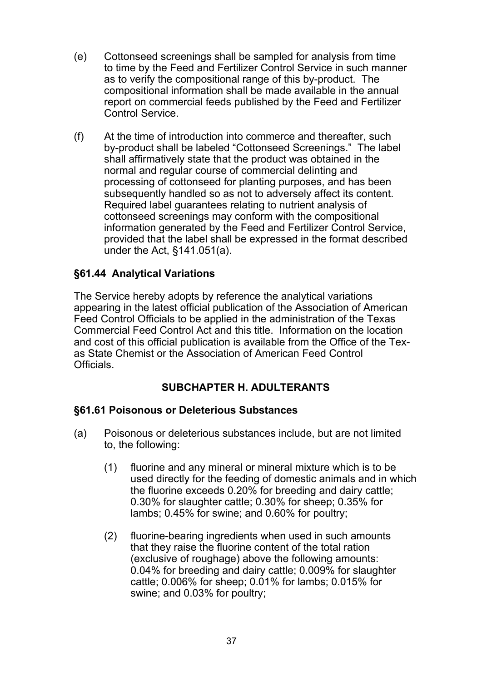- (e) Cottonseed screenings shall be sampled for analysis from time to time by the Feed and Fertilizer Control Service in such manner as to verify the compositional range of this by-product. The compositional information shall be made available in the annual report on commercial feeds published by the Feed and Fertilizer Control Service.
- (f) At the time of introduction into commerce and thereafter, such by-product shall be labeled "Cottonseed Screenings." The label shall affirmatively state that the product was obtained in the normal and regular course of commercial delinting and processing of cottonseed for planting purposes, and has been subsequently handled so as not to adversely affect its content. Required label guarantees relating to nutrient analysis of cottonseed screenings may conform with the compositional information generated by the Feed and Fertilizer Control Service, provided that the label shall be expressed in the format described under the Act, §141.051(a).

# **§61.44 Analytical Variations**

The Service hereby adopts by reference the analytical variations appearing in the latest official publication of the Association of American Feed Control Officials to be applied in the administration of the Texas Commercial Feed Control Act and this title. Information on the location and cost of this official publication is available from the Office of the Texas State Chemist or the Association of American Feed Control **Officials** 

# **SUBCHAPTER H. ADULTERANTS**

# **§61.61 Poisonous or Deleterious Substances**

- (a) Poisonous or deleterious substances include, but are not limited to, the following:
	- (1) fluorine and any mineral or mineral mixture which is to be used directly for the feeding of domestic animals and in which the fluorine exceeds 0.20% for breeding and dairy cattle; 0.30% for slaughter cattle; 0.30% for sheep; 0.35% for lambs; 0.45% for swine; and 0.60% for poultry;
	- (2) fluorine-bearing ingredients when used in such amounts that they raise the fluorine content of the total ration (exclusive of roughage) above the following amounts: 0.04% for breeding and dairy cattle; 0.009% for slaughter cattle; 0.006% for sheep; 0.01% for lambs; 0.015% for swine; and 0.03% for poultry;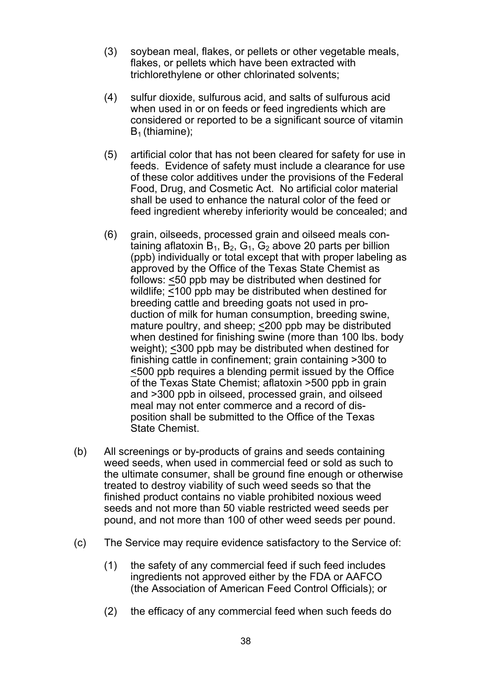- (3) soybean meal, flakes, or pellets or other vegetable meals, flakes, or pellets which have been extracted with trichlorethylene or other chlorinated solvents;
- (4) sulfur dioxide, sulfurous acid, and salts of sulfurous acid when used in or on feeds or feed ingredients which are considered or reported to be a significant source of vitamin  $B_1$  (thiamine);
- (5) artificial color that has not been cleared for safety for use in feeds. Evidence of safety must include a clearance for use of these color additives under the provisions of the Federal Food, Drug, and Cosmetic Act. No artificial color material shall be used to enhance the natural color of the feed or feed ingredient whereby inferiority would be concealed; and
- (6) grain, oilseeds, processed grain and oilseed meals con taining aflatoxin  $B_1$ ,  $B_2$ ,  $G_1$ ,  $G_2$  above 20 parts per billion (ppb) individually or total except that with proper labeling as approved by the Office of the Texas State Chemist as follows: <50 ppb may be distributed when destined for wildlife; <100 ppb may be distributed when destined for breeding cattle and breeding goats not used in pro duction of milk for human consumption, breeding swine, mature poultry, and sheep; <200 ppb may be distributed when destined for finishing swine (more than 100 lbs. body weight); <300 ppb may be distributed when destined for finishing cattle in confinement; grain containing >300 to <500 ppb requires a blending permit issued by the Office of the Texas State Chemist; aflatoxin >500 ppb in grain and >300 ppb in oilseed, processed grain, and oilseed meal may not enter commerce and a record of dis position shall be submitted to the Office of the Texas State Chemist.
- (b) All screenings or by-products of grains and seeds containing weed seeds, when used in commercial feed or sold as such to the ultimate consumer, shall be ground fine enough or otherwise treated to destroy viability of such weed seeds so that the finished product contains no viable prohibited noxious weed seeds and not more than 50 viable restricted weed seeds per pound, and not more than 100 of other weed seeds per pound.
- (c) The Service may require evidence satisfactory to the Service of:
	- (1) the safety of any commercial feed if such feed includes ingredients not approved either by the FDA or AAFCO (the Association of American Feed Control Officials); or
	- (2) the efficacy of any commercial feed when such feeds do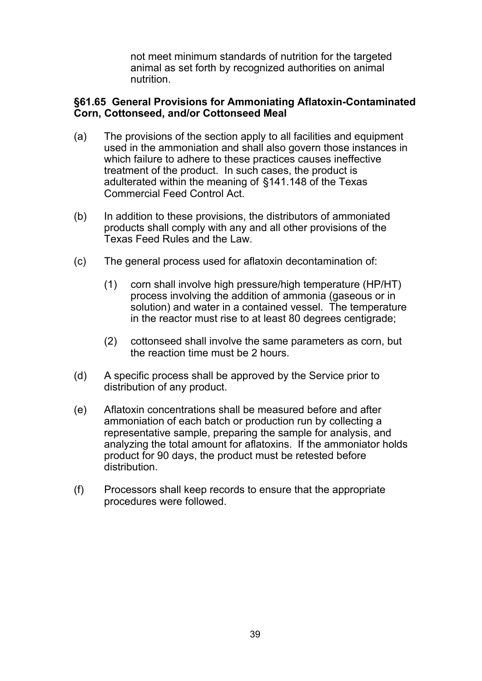not meet minimum standards of nutrition for the targeted animal as set forth by recognized authorities on animal nutrition.

#### **§61.65 General Provisions for Ammoniating Aflatoxin-Contaminated Corn, Cottonseed, and/or Cottonseed Meal**

- (a) The provisions of the section apply to all facilities and equipment used in the ammoniation and shall also govern those instances in which failure to adhere to these practices causes ineffective treatment of the product. In such cases, the product is adulterated within the meaning of §141.148 of the Texas Commercial Feed Control Act.
- (b) In addition to these provisions, the distributors of ammoniated products shall comply with any and all other provisions of the Texas Feed Rules and the Law.
- (c) The general process used for aflatoxin decontamination of:
	- (1) corn shall involve high pressure/high temperature (HP/HT) process involving the addition of ammonia (gaseous or in solution) and water in a contained vessel. The temperature in the reactor must rise to at least 80 degrees centigrade;
	- (2) cottonseed shall involve the same parameters as corn, but the reaction time must be 2 hours.
- (d) A specific process shall be approved by the Service prior to distribution of any product.
- (e) Aflatoxin concentrations shall be measured before and after ammoniation of each batch or production run by collecting a representative sample, preparing the sample for analysis, and analyzing the total amount for aflatoxins. If the ammoniator holds product for 90 days, the product must be retested before distribution.
- (f) Processors shall keep records to ensure that the appropriate procedures were followed.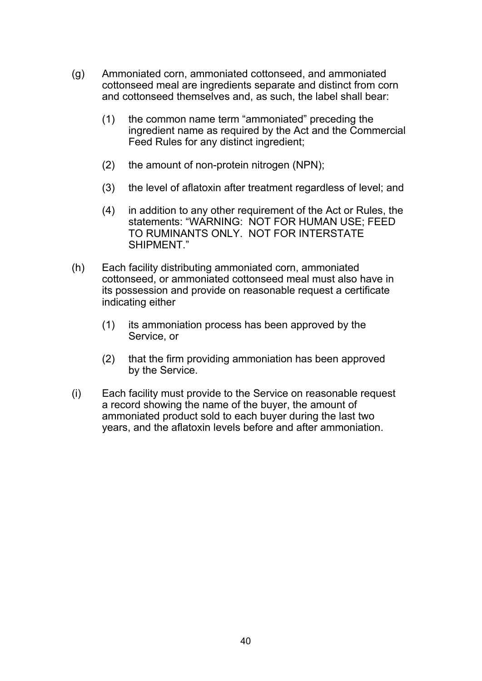- (g) Ammoniated corn, ammoniated cottonseed, and ammoniated cottonseed meal are ingredients separate and distinct from corn and cottonseed themselves and, as such, the label shall bear:
	- (1) the common name term "ammoniated" preceding the ingredient name as required by the Act and the Commercial Feed Rules for any distinct ingredient;
	- (2) the amount of non-protein nitrogen (NPN);
	- (3) the level of aflatoxin after treatment regardless of level; and
	- (4) in addition to any other requirement of the Act or Rules, the statements: "WARNING: NOT FOR HUMAN USE; FEED TO RUMINANTS ONLY. NOT FOR INTERSTATE SHIPMENT"
- (h) Each facility distributing ammoniated corn, ammoniated cottonseed, or ammoniated cottonseed meal must also have in its possession and provide on reasonable request a certificate indicating either
	- (1) its ammoniation process has been approved by the Service, or
	- (2) that the firm providing ammoniation has been approved by the Service.
- (i) Each facility must provide to the Service on reasonable request a record showing the name of the buyer, the amount of ammoniated product sold to each buyer during the last two years, and the aflatoxin levels before and after ammoniation.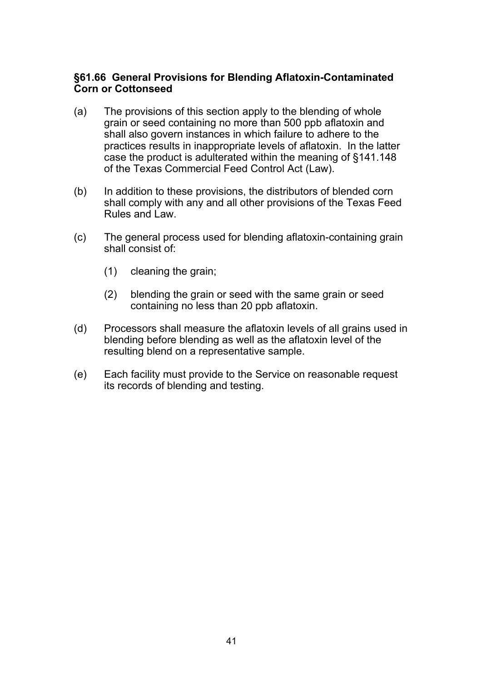#### **§61.66 General Provisions for Blending Aflatoxin-Contaminated Corn or Cottonseed**

- (a) The provisions of this section apply to the blending of whole grain or seed containing no more than 500 ppb aflatoxin and shall also govern instances in which failure to adhere to the practices results in inappropriate levels of aflatoxin. In the latter case the product is adulterated within the meaning of §141.148 of the Texas Commercial Feed Control Act (Law).
- (b) In addition to these provisions, the distributors of blended corn shall comply with any and all other provisions of the Texas Feed Rules and Law.
- (c) The general process used for blending aflatoxin-containing grain shall consist of:
	- (1) cleaning the grain;
	- (2) blending the grain or seed with the same grain or seed containing no less than 20 ppb aflatoxin.
- (d) Processors shall measure the aflatoxin levels of all grains used in blending before blending as well as the aflatoxin level of the resulting blend on a representative sample.
- (e) Each facility must provide to the Service on reasonable request its records of blending and testing.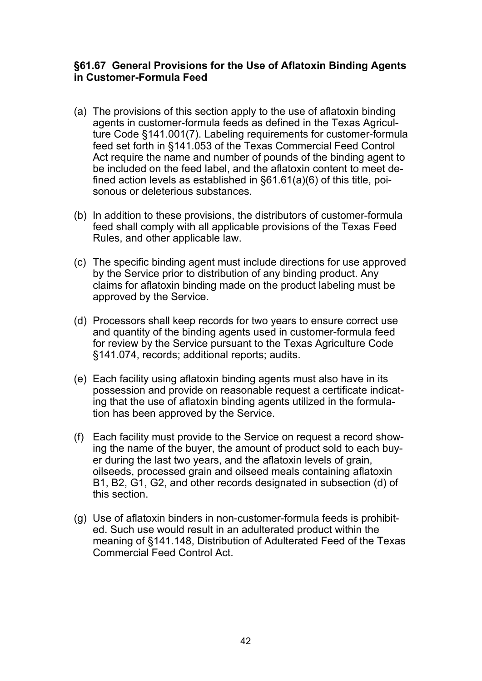#### **§61.67 General Provisions for the Use of Aflatoxin Binding Agents in Customer-Formula Feed**

- (a) The provisions of this section apply to the use of aflatoxin binding agents in customer-formula feeds as defined in the Texas Agriculture Code §141.001(7). Labeling requirements for customer-formula feed set forth in §141.053 of the Texas Commercial Feed Control Act require the name and number of pounds of the binding agent to be included on the feed label, and the aflatoxin content to meet defined action levels as established in §61.61(a)(6) of this title, poisonous or deleterious substances.
- (b) In addition to these provisions, the distributors of customer-formula feed shall comply with all applicable provisions of the Texas Feed Rules, and other applicable law.
- (c) The specific binding agent must include directions for use approved by the Service prior to distribution of any binding product. Any claims for aflatoxin binding made on the product labeling must be approved by the Service.
- (d) Processors shall keep records for two years to ensure correct use and quantity of the binding agents used in customer-formula feed for review by the Service pursuant to the Texas Agriculture Code §141.074, records; additional reports; audits.
- (e) Each facility using aflatoxin binding agents must also have in its possession and provide on reasonable request a certificate indicating that the use of aflatoxin binding agents utilized in the formulation has been approved by the Service.
- (f) Each facility must provide to the Service on request a record showing the name of the buyer, the amount of product sold to each buyer during the last two years, and the aflatoxin levels of grain, oilseeds, processed grain and oilseed meals containing aflatoxin B1, B2, G1, G2, and other records designated in subsection (d) of this section.
- (g) Use of aflatoxin binders in non-customer-formula feeds is prohibited. Such use would result in an adulterated product within the meaning of §141.148, Distribution of Adulterated Feed of the Texas Commercial Feed Control Act.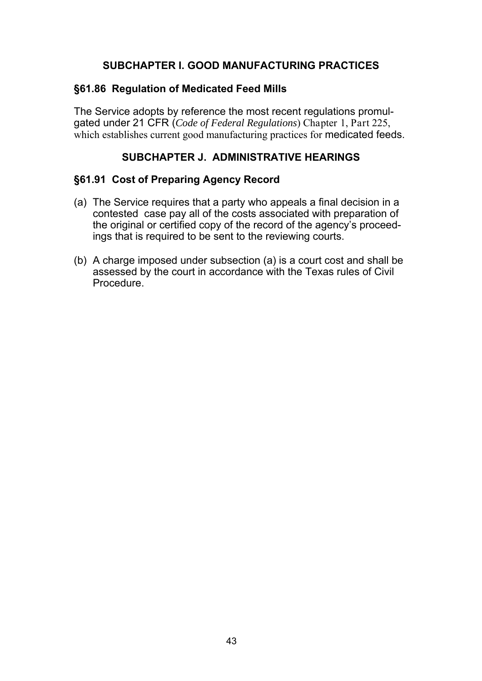# **SUBCHAPTER I. GOOD MANUFACTURING PRACTICES**

### **§61.86 Regulation of Medicated Feed Mills**

The Service adopts by reference the most recent regulations promulgated under 21 CFR (*Code of Federal Regulations*) Chapter 1, Part 225, which establishes current good manufacturing practices for medicated feeds.

### **SUBCHAPTER J. ADMINISTRATIVE HEARINGS**

#### **§61.91 Cost of Preparing Agency Record**

- (a) The Service requires that a party who appeals a final decision in a contested case pay all of the costs associated with preparation of the original or certified copy of the record of the agency's proceedings that is required to be sent to the reviewing courts.
- (b) A charge imposed under subsection (a) is a court cost and shall be assessed by the court in accordance with the Texas rules of Civil Procedure.